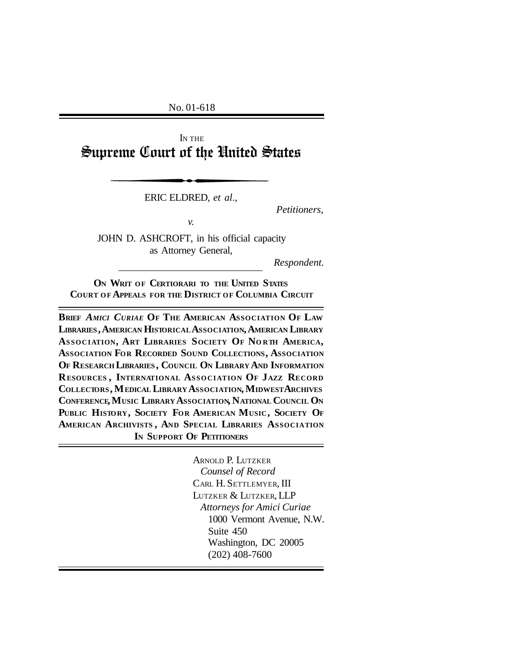No. 01-618

I<sup>N</sup> THE Supreme Court of the United States

ERIC ELDRED, *et al*.,

*Petitioners,*

*v.*

JOHN D. ASHCROFT, in his official capacity as Attorney General,

\_\_\_\_\_\_\_\_\_\_\_\_\_\_\_\_\_\_\_\_\_\_\_\_\_\_\_\_\_\_\_

*Respondent.*

**O<sup>N</sup> WRIT OF CERTIORARI TO THE UNITED STATES COURT OF APPEALS FOR THE DISTRICT OF COLUMBIA CIRCUIT**

**BRIEF** *AMICI CURIAE* **O<sup>F</sup> THE AMERICAN ASSOCIATION OF LAW LIBRARIES , AMERICAN HISTORICALASSOCIATION, AMERICAN LIBRARY ASSOCIATION, ART LIBRARIES SOCIETY OF NO RTH AMERICA, ASSOCIATION FOR RECORDED SOUND COLLECTIONS, ASSOCIATION OF RESEARCH LIBRARIES , COUNCIL ON LIBRARY AND INFORMATION RESOURCES , INTERNATIONAL ASSOCIATION OF JAZZ RECORD COLLECTORS, MEDICAL LIBRARY ASSOCIATION, MIDWESTARCHIVES CONFERENCE, MUSIC LIBRARY ASSOCIATION, NATIONAL COUNCIL O<sup>N</sup> PUBLIC HISTORY, SOCIETY FOR AMERICAN MUSIC, SOCIETY O<sup>F</sup> AMERICAN ARCHIVISTS , AND SPECIAL LIBRARIES ASSOCIATION IN SUPPORT OF PETITIONERS**

> ARNOLD P. LUTZKER *Counsel of Record* CARL H. SETTLEMYER, III LUTZKER & LUTZKER, LLP *Attorneys for Amici Curiae* 1000 Vermont Avenue, N.W. Suite 450 Washington, DC 20005 (202) 408-7600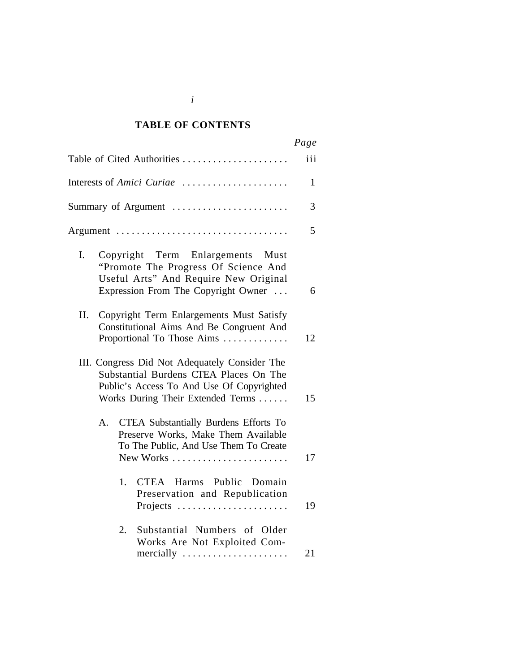#### *Cited Authorities* **TABLE OF CONTENTS**

|                                                                                                                                                                           | Page |
|---------------------------------------------------------------------------------------------------------------------------------------------------------------------------|------|
| Table of Cited Authorities                                                                                                                                                | iii  |
| Interests of Amici Curiae                                                                                                                                                 | 1    |
| Summary of Argument                                                                                                                                                       | 3    |
| Argument                                                                                                                                                                  | 5    |
| I.<br>Copyright Term Enlargements Must<br>"Promote The Progress Of Science And<br>Useful Arts" And Require New Original<br>Expression From The Copyright Owner            | 6    |
| Copyright Term Enlargements Must Satisfy<br>П.<br>Constitutional Aims And Be Congruent And<br>Proportional To Those Aims                                                  | 12   |
| III. Congress Did Not Adequately Consider The<br>Substantial Burdens CTEA Places On The<br>Public's Access To And Use Of Copyrighted<br>Works During Their Extended Terms | 15   |
| <b>CTEA Substantially Burdens Efforts To</b><br>А.<br>Preserve Works, Make Them Available<br>To The Public, And Use Them To Create<br>New Works                           | 17   |
| 1.<br>CTEA Harms Public Domain<br>Preservation and Republication<br>Projects                                                                                              | 19   |
| Substantial Numbers of Older<br>2.<br>Works Are Not Exploited Com-<br>mercially                                                                                           | 21   |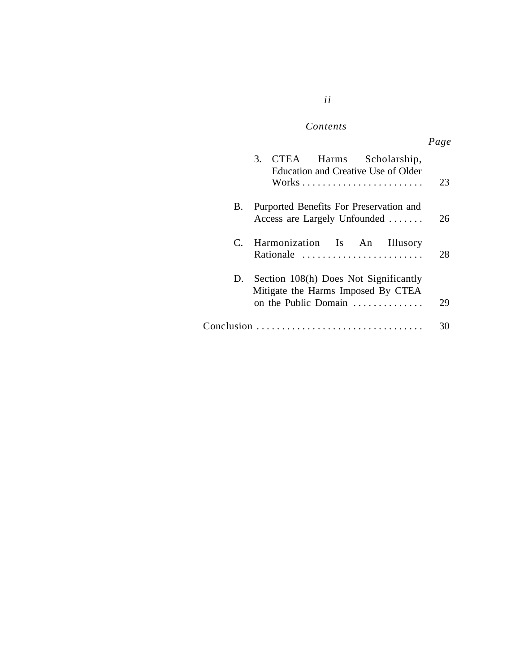## *ii*

#### $Contents$

|    | 3. CTEA Harms Scholarship,<br>Education and Creative Use of Older                                      | 23 |
|----|--------------------------------------------------------------------------------------------------------|----|
| В. | Purported Benefits For Preservation and<br>Access are Largely Unfounded                                | 26 |
|    | C. Harmonization Is An Illusory<br>Rationale                                                           | 28 |
|    | D. Section 108(h) Does Not Significantly<br>Mitigate the Harms Imposed By CTEA<br>on the Public Domain | 29 |
|    |                                                                                                        |    |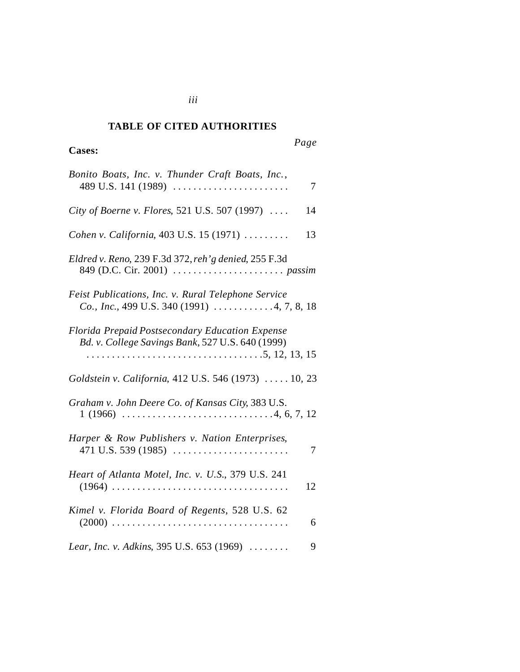#### *Cited Authorities* **TABLE OF CITED AUTHORITIES**

## **Cases:**

*Page*

| Bonito Boats, Inc. v. Thunder Craft Boats, Inc.,<br>489 U.S. 141 (1989)<br>7                               |
|------------------------------------------------------------------------------------------------------------|
| City of Boerne v. Flores, 521 U.S. 507 (1997)<br>14                                                        |
| Cohen v. California, 403 U.S. 15 (1971)<br>13                                                              |
| Eldred v. Reno, 239 F.3d 372, reh'g denied, 255 F.3d                                                       |
| Feist Publications, Inc. v. Rural Telephone Service<br>Co., Inc., 499 U.S. 340 (1991) $\ldots$ 4, 7, 8, 18 |
| Florida Prepaid Postsecondary Education Expense<br>Bd. v. College Savings Bank, 527 U.S. 640 (1999)        |
| Goldstein v. California, 412 U.S. 546 (1973)  10, 23                                                       |
| Graham v. John Deere Co. of Kansas City, 383 U.S.                                                          |
| Harper & Row Publishers v. Nation Enterprises,<br>$471$ U.S. 539 (1985)<br>7                               |
| Heart of Atlanta Motel, Inc. v. U.S., 379 U.S. 241<br>12                                                   |
| Kimel v. Florida Board of Regents, 528 U.S. 62<br>6                                                        |
| Lear, Inc. v. Adkins, 395 U.S. 653 (1969)<br>9                                                             |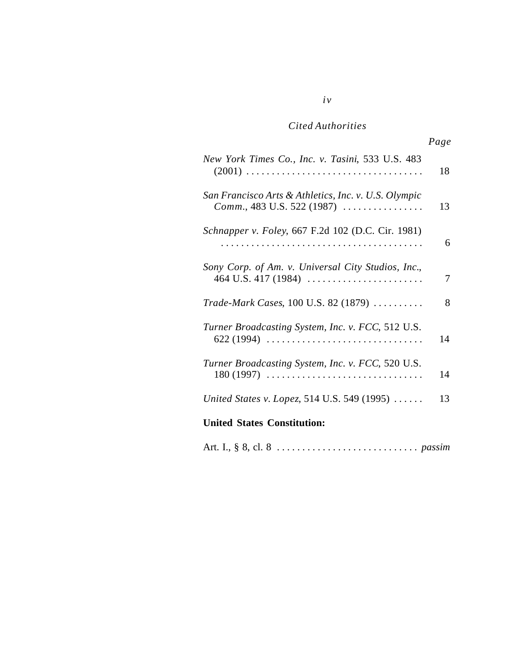|                                                                                                     | Page |
|-----------------------------------------------------------------------------------------------------|------|
| New York Times Co., Inc. v. Tasini, 533 U.S. 483                                                    | 18   |
| San Francisco Arts & Athletics, Inc. v. U.S. Olympic<br><i>Comm.</i> , 483 U.S. 522 (1987) $\ldots$ | 13   |
| Schnapper v. Foley, 667 F.2d 102 (D.C. Cir. 1981)                                                   | 6    |
| Sony Corp. of Am. v. Universal City Studios, Inc.,                                                  | 7    |
| <i>Trade-Mark Cases</i> , 100 U.S. 82 (1879) $\ldots \ldots \ldots$                                 | 8    |
| Turner Broadcasting System, Inc. v. FCC, 512 U.S.<br>$622(1994)$                                    | 14   |
| Turner Broadcasting System, Inc. v. FCC, 520 U.S.<br>$180(1997)$                                    | 14   |
| United States v. Lopez, 514 U.S. 549 (1995)                                                         | 13   |
| <b>United States Constitution:</b>                                                                  |      |

Art. I., § 8, cl. 8 . . . . . . . . . . . . . . . . . . . . . . . . . . . . *passim*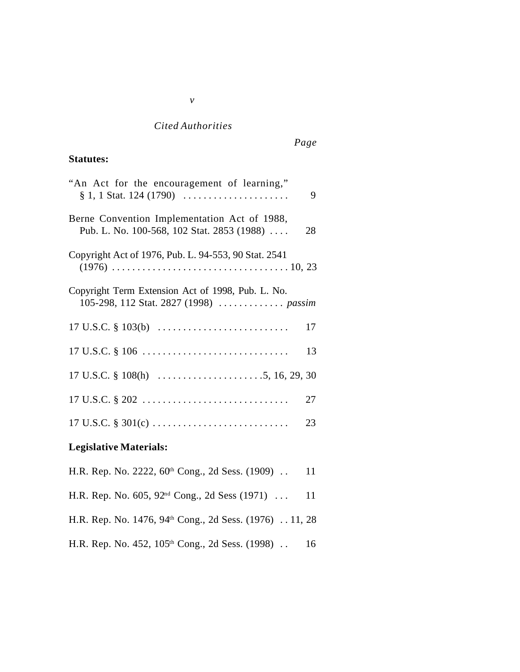## **Statutes:**

| "An Act for the encouragement of learning,"<br>$\S 1, 1$ Stat. 124 (1790)                   | 9  |
|---------------------------------------------------------------------------------------------|----|
| Berne Convention Implementation Act of 1988,<br>Pub. L. No. 100-568, 102 Stat. 2853 (1988)  | 28 |
| Copyright Act of 1976, Pub. L. 94-553, 90 Stat. 2541                                        |    |
| Copyright Term Extension Act of 1998, Pub. L. No.<br>105-298, 112 Stat. 2827 (1998)  passim |    |
|                                                                                             | 17 |
|                                                                                             | 13 |
|                                                                                             |    |
|                                                                                             | 27 |
|                                                                                             | 23 |
| <b>Legislative Materials:</b>                                                               |    |

# H.R. Rep. No. 2222, 60<sup>th</sup> Cong., 2d Sess. (1909) . . 11

- H.R. Rep. No. 605, 92nd Cong., 2d Sess (1971) . . . 11
- H.R. Rep. No. 1476, 94<sup>th</sup> Cong., 2d Sess. (1976) . . 11, 28
- H.R. Rep. No. 452, 105<sup>th</sup> Cong., 2d Sess. (1998) . . 16

*v*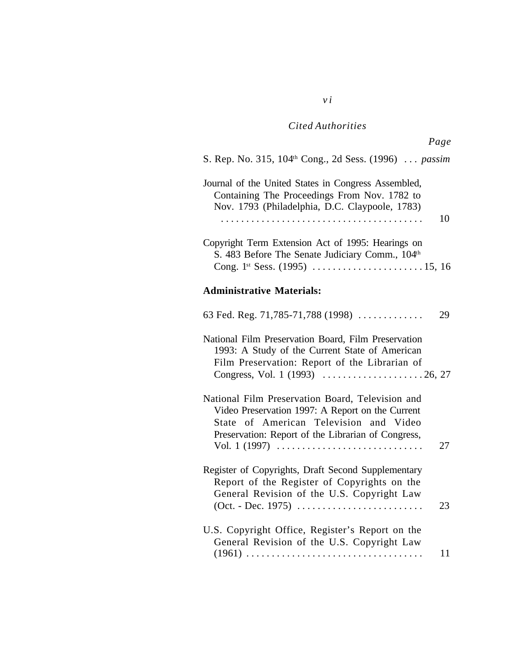*v i*

| Page                                                                                                                                                                                                                         |    |
|------------------------------------------------------------------------------------------------------------------------------------------------------------------------------------------------------------------------------|----|
| S. Rep. No. 315, 104 <sup>th</sup> Cong., 2d Sess. (1996)  passim                                                                                                                                                            |    |
| Journal of the United States in Congress Assembled,<br>Containing The Proceedings From Nov. 1782 to<br>Nov. 1793 (Philadelphia, D.C. Claypoole, 1783)                                                                        | 10 |
| Copyright Term Extension Act of 1995: Hearings on<br>S. 483 Before The Senate Judiciary Comm., 104th                                                                                                                         |    |
| <b>Administrative Materials:</b>                                                                                                                                                                                             |    |
| 63 Fed. Reg. 71,785-71,788 (1998)                                                                                                                                                                                            | 29 |
| National Film Preservation Board, Film Preservation<br>1993: A Study of the Current State of American<br>Film Preservation: Report of the Librarian of                                                                       |    |
| National Film Preservation Board, Television and<br>Video Preservation 1997: A Report on the Current<br>State of American Television and Video<br>Preservation: Report of the Librarian of Congress,<br>Vol. 1 $(1997)$<br>. | 27 |
| Register of Copyrights, Draft Second Supplementary<br>Report of the Register of Copyrights on the<br>General Revision of the U.S. Copyright Law                                                                              | 23 |
| U.S. Copyright Office, Register's Report on the<br>General Revision of the U.S. Copyright Law                                                                                                                                | 11 |
|                                                                                                                                                                                                                              |    |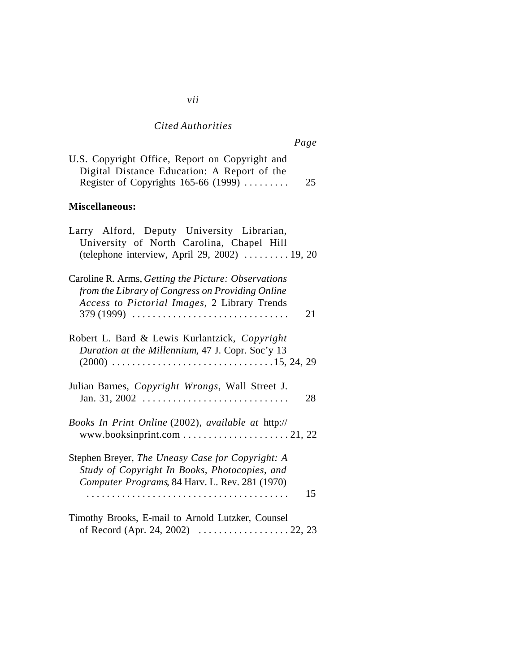*vii*

*Page*

| U.S. Copyright Office, Report on Copyright and |    |
|------------------------------------------------|----|
| Digital Distance Education: A Report of the    |    |
| Register of Copyrights $165-66$ (1999)         | 25 |

#### **Miscellaneous:**

| Larry Alford, Deputy University Librarian,<br>University of North Carolina, Chapel Hill<br>(telephone interview, April 29, 2002)  19, 20                      |
|---------------------------------------------------------------------------------------------------------------------------------------------------------------|
| Caroline R. Arms, Getting the Picture: Observations<br>from the Library of Congress on Providing Online<br>Access to Pictorial Images, 2 Library Trends<br>21 |
| Robert L. Bard & Lewis Kurlantzick, Copyright<br>Duration at the Millennium, 47 J. Copr. Soc'y 13                                                             |
| Julian Barnes, Copyright Wrongs, Wall Street J.<br>28                                                                                                         |
| Books In Print Online (2002), available at http://                                                                                                            |
| Stephen Breyer, The Uneasy Case for Copyright: A<br>Study of Copyright In Books, Photocopies, and<br>Computer Programs, 84 Harv. L. Rev. 281 (1970)<br>15     |
| Timothy Brooks, E-mail to Arnold Lutzker, Counsel<br>of Record (Apr. 24, 2002) $\ldots \ldots \ldots \ldots \ldots 22, 23$                                    |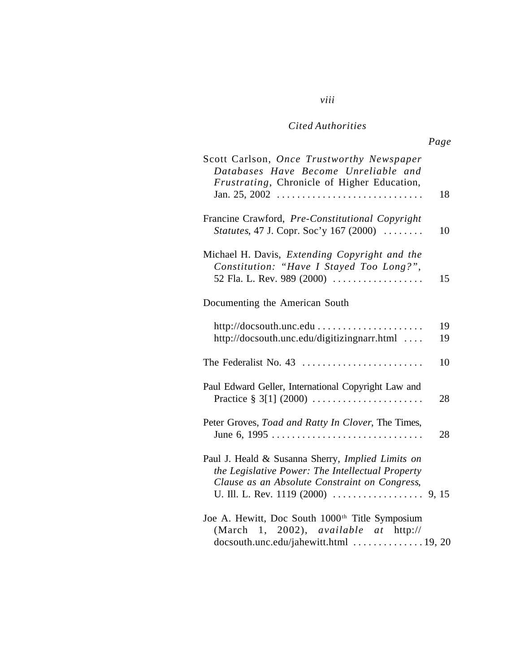*viii*

| Scott Carlson, Once Trustworthy Newspaper<br>Databases Have Become Unreliable and<br>Frustrating, Chronicle of Higher Education,                       | 18       |
|--------------------------------------------------------------------------------------------------------------------------------------------------------|----------|
| Francine Crawford, Pre-Constitutional Copyright<br><i>Statutes</i> , 47 J. Copr. Soc'y 167 (2000)                                                      | 10       |
| Michael H. Davis, Extending Copyright and the<br>Constitution: "Have I Stayed Too Long?",<br>52 Fla. L. Rev. 989 (2000)                                | 15       |
| Documenting the American South                                                                                                                         |          |
| http://docsouth.unc.edu<br>http://docsouth.unc.edu/digitizingnarr.html                                                                                 | 19<br>19 |
|                                                                                                                                                        | 10       |
| Paul Edward Geller, International Copyright Law and<br>Practice § 3[1] $(2000)$                                                                        | 28       |
| Peter Groves, Toad and Ratty In Clover, The Times,                                                                                                     | 28       |
| Paul J. Heald & Susanna Sherry, Implied Limits on<br>the Legislative Power: The Intellectual Property<br>Clause as an Absolute Constraint on Congress, |          |
| Joe A. Hewitt, Doc South 1000 <sup>th</sup> Title Symposium<br>(March 1, 2002), <i>available at http://</i><br>docsouth.unc.edu/jahewitt.html  19, 20  |          |

## *Page*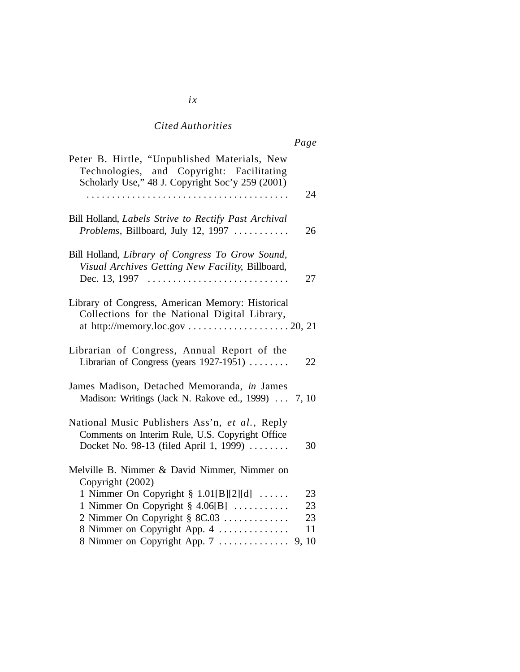|--|--|--|

| Peter B. Hirtle, "Unpublished Materials, New<br>Technologies, and Copyright: Facilitating<br>Scholarly Use," 48 J. Copyright Soc'y 259 (2001)   |                      |
|-------------------------------------------------------------------------------------------------------------------------------------------------|----------------------|
|                                                                                                                                                 | 24                   |
| Bill Holland, Labels Strive to Rectify Past Archival<br>Problems, Billboard, July 12, 1997                                                      | 26                   |
| Bill Holland, Library of Congress To Grow Sound,<br>Visual Archives Getting New Facility, Billboard,                                            | 27                   |
| Library of Congress, American Memory: Historical<br>Collections for the National Digital Library,                                               |                      |
| Librarian of Congress, Annual Report of the<br>Librarian of Congress (years 1927-1951)                                                          | 22                   |
| James Madison, Detached Memoranda, in James<br>Madison: Writings (Jack N. Rakove ed., 1999)  7, 10                                              |                      |
| National Music Publishers Ass'n, et al., Reply<br>Comments on Interim Rule, U.S. Copyright Office<br>Docket No. 98-13 (filed April 1, 1999)     | 30                   |
| Melville B. Nimmer & David Nimmer, Nimmer on<br>Copyright (2002)                                                                                |                      |
| 1 Nimmer On Copyright $\S$ 1.01[B][2][d]<br>1 Nimmer On Copyright $\S$ 4.06[B]<br>2 Nimmer On Copyright § 8C.03<br>8 Nimmer on Copyright App. 4 | 23<br>23<br>23<br>11 |
| 8 Nimmer on Copyright App. 7                                                                                                                    | 9, 10                |

#### *ix*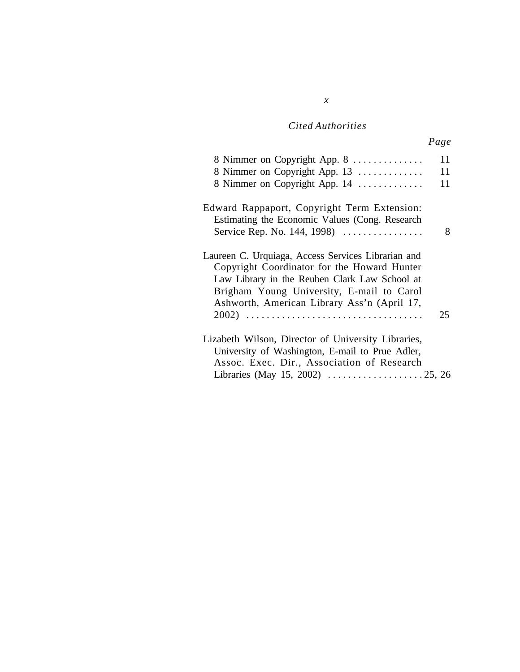*x*

| 8 Nimmer on Copyright App. 8<br>8 Nimmer on Copyright App. 13<br>8 Nimmer on Copyright App. 14                                                                                                                                                 | 11<br>11<br>11 |
|------------------------------------------------------------------------------------------------------------------------------------------------------------------------------------------------------------------------------------------------|----------------|
| Edward Rappaport, Copyright Term Extension:<br>Estimating the Economic Values (Cong. Research<br>Service Rep. No. 144, 1998)                                                                                                                   | 8              |
| Laureen C. Urquiaga, Access Services Librarian and<br>Copyright Coordinator for the Howard Hunter<br>Law Library in the Reuben Clark Law School at<br>Brigham Young University, E-mail to Carol<br>Ashworth, American Library Ass'n (April 17, | 25             |
| Lizabeth Wilson, Director of University Libraries,<br>University of Washington, E-mail to Prue Adler,<br>Assoc. Exec. Dir., Association of Research                                                                                            |                |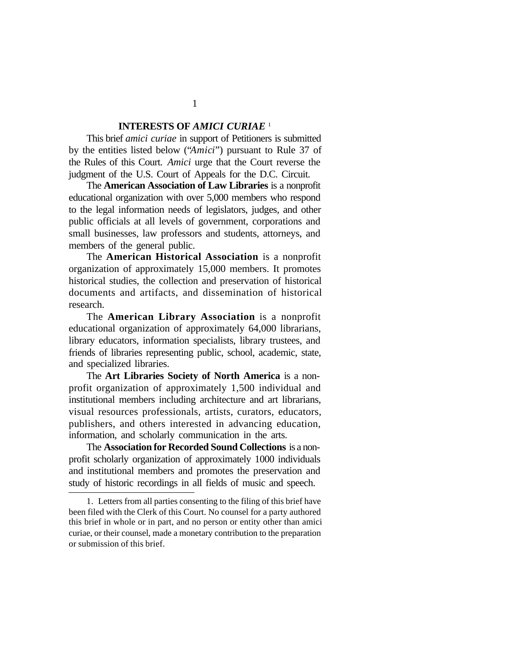#### **INTERESTS OF** *AMICI CURIAE* <sup>1</sup>

This brief *amici curiae* in support of Petitioners is submitted by the entities listed below ("*Amici*") pursuant to Rule 37 of the Rules of this Court. *Amici* urge that the Court reverse the judgment of the U.S. Court of Appeals for the D.C. Circuit.

The **American Association of Law Libraries** is a nonprofit educational organization with over 5,000 members who respond to the legal information needs of legislators, judges, and other public officials at all levels of government, corporations and small businesses, law professors and students, attorneys, and members of the general public.

The **American Historical Association** is a nonprofit organization of approximately 15,000 members. It promotes historical studies, the collection and preservation of historical documents and artifacts, and dissemination of historical research.

The **American Library Association** is a nonprofit educational organization of approximately 64,000 librarians, library educators, information specialists, library trustees, and friends of libraries representing public, school, academic, state, and specialized libraries.

The **Art Libraries Society of North America** is a nonprofit organization of approximately 1,500 individual and institutional members including architecture and art librarians, visual resources professionals, artists, curators, educators, publishers, and others interested in advancing education, information, and scholarly communication in the arts.

The **Association for Recorded Sound Collections** is a nonprofit scholarly organization of approximately 1000 individuals and institutional members and promotes the preservation and study of historic recordings in all fields of music and speech.

1

<sup>1.</sup> Letters from all parties consenting to the filing of this brief have been filed with the Clerk of this Court. No counsel for a party authored this brief in whole or in part, and no person or entity other than amici curiae, or their counsel, made a monetary contribution to the preparation or submission of this brief.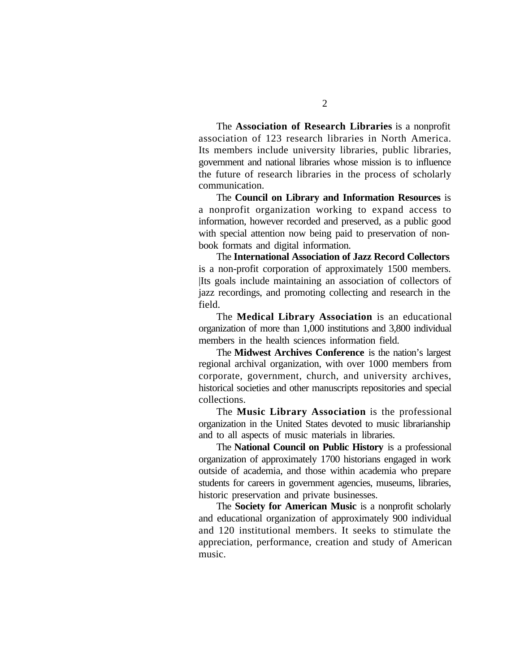The **Association of Research Libraries** is a nonprofit association of 123 research libraries in North America. Its members include university libraries, public libraries, government and national libraries whose mission is to influence the future of research libraries in the process of scholarly communication.

The **Council on Library and Information Resources** is a nonprofit organization working to expand access to information, however recorded and preserved, as a public good with special attention now being paid to preservation of nonbook formats and digital information.

The **International Association of Jazz Record Collectors** is a non-profit corporation of approximately 1500 members. |Its goals include maintaining an association of collectors of jazz recordings, and promoting collecting and research in the field.

The **Medical Library Association** is an educational organization of more than 1,000 institutions and 3,800 individual members in the health sciences information field.

The **Midwest Archives Conference** is the nation's largest regional archival organization, with over 1000 members from corporate, government, church, and university archives, historical societies and other manuscripts repositories and special collections.

The **Music Library Association** is the professional organization in the United States devoted to music librarianship and to all aspects of music materials in libraries.

The **National Council on Public History** is a professional organization of approximately 1700 historians engaged in work outside of academia, and those within academia who prepare students for careers in government agencies, museums, libraries, historic preservation and private businesses.

The **Society for American Music** is a nonprofit scholarly and educational organization of approximately 900 individual and 120 institutional members. It seeks to stimulate the appreciation, performance, creation and study of American music.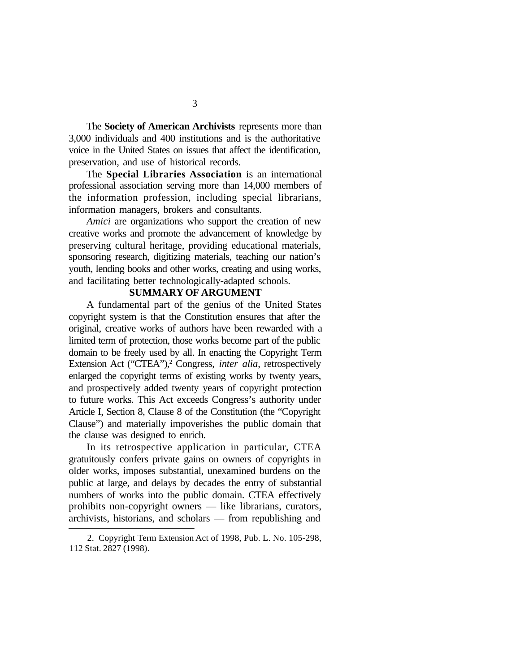The **Society of American Archivists** represents more than 3,000 individuals and 400 institutions and is the authoritative voice in the United States on issues that affect the identification, preservation, and use of historical records.

The **Special Libraries Association** is an international professional association serving more than 14,000 members of the information profession, including special librarians, information managers, brokers and consultants.

*Amici* are organizations who support the creation of new creative works and promote the advancement of knowledge by preserving cultural heritage, providing educational materials, sponsoring research, digitizing materials, teaching our nation's youth, lending books and other works, creating and using works, and facilitating better technologically-adapted schools.

#### **SUMMARY OF ARGUMENT**

A fundamental part of the genius of the United States copyright system is that the Constitution ensures that after the original, creative works of authors have been rewarded with a limited term of protection, those works become part of the public domain to be freely used by all. In enacting the Copyright Term Extension Act ("CTEA"),<sup>2</sup> Congress, *inter alia*, retrospectively enlarged the copyright terms of existing works by twenty years, and prospectively added twenty years of copyright protection to future works. This Act exceeds Congress's authority under Article I, Section 8, Clause 8 of the Constitution (the "Copyright Clause") and materially impoverishes the public domain that the clause was designed to enrich.

In its retrospective application in particular, CTEA gratuitously confers private gains on owners of copyrights in older works, imposes substantial, unexamined burdens on the public at large, and delays by decades the entry of substantial numbers of works into the public domain. CTEA effectively prohibits non-copyright owners — like librarians, curators, archivists, historians, and scholars — from republishing and

<sup>2.</sup> Copyright Term Extension Act of 1998, Pub. L. No. 105-298, 112 Stat. 2827 (1998).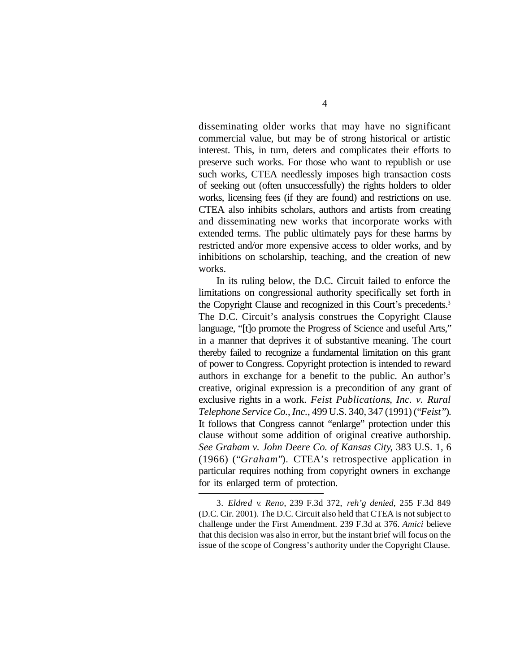disseminating older works that may have no significant commercial value, but may be of strong historical or artistic interest. This, in turn, deters and complicates their efforts to preserve such works. For those who want to republish or use such works, CTEA needlessly imposes high transaction costs of seeking out (often unsuccessfully) the rights holders to older works, licensing fees (if they are found) and restrictions on use. CTEA also inhibits scholars, authors and artists from creating and disseminating new works that incorporate works with extended terms. The public ultimately pays for these harms by restricted and/or more expensive access to older works, and by inhibitions on scholarship, teaching, and the creation of new works.

In its ruling below, the D.C. Circuit failed to enforce the limitations on congressional authority specifically set forth in the Copyright Clause and recognized in this Court's precedents.<sup>3</sup> The D.C. Circuit's analysis construes the Copyright Clause language, "[t]o promote the Progress of Science and useful Arts," in a manner that deprives it of substantive meaning. The court thereby failed to recognize a fundamental limitation on this grant of power to Congress. Copyright protection is intended to reward authors in exchange for a benefit to the public. An author's creative, original expression is a precondition of any grant of exclusive rights in a work. *Feist Publications*, *Inc. v. Rural Telephone Service Co.*, *Inc.*, 499 U.S. 340, 347 (1991) ("*Feist*"). It follows that Congress cannot "enlarge" protection under this clause without some addition of original creative authorship. *See Graham v. John Deere Co. of Kansas City*, 383 U.S. 1, 6 (1966) ("*Graham*")*.* CTEA's retrospective application in particular requires nothing from copyright owners in exchange for its enlarged term of protection.

<sup>3.</sup> *Eldred v. Reno*, 239 F.3d 372, *reh'g denied*, 255 F.3d 849 (D.C. Cir. 2001). The D.C. Circuit also held that CTEA is not subject to challenge under the First Amendment. 239 F.3d at 376. *Amici* believe that this decision was also in error, but the instant brief will focus on the issue of the scope of Congress's authority under the Copyright Clause.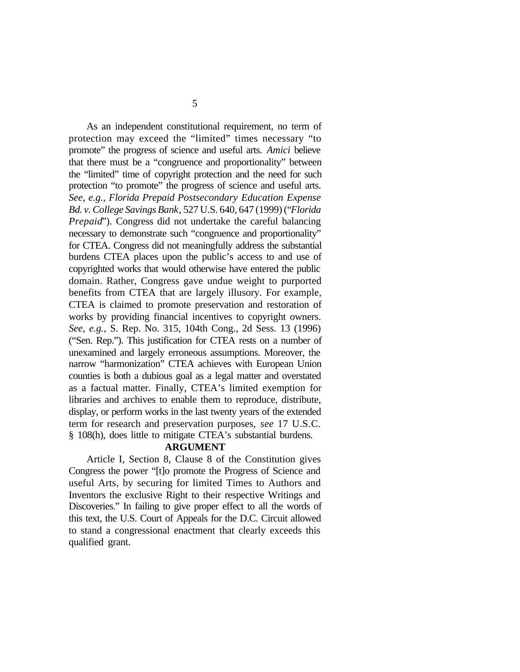As an independent constitutional requirement, no term of protection may exceed the "limited" times necessary "to promote" the progress of science and useful arts. *Amici* believe that there must be a "congruence and proportionality" between the "limited" time of copyright protection and the need for such protection "to promote" the progress of science and useful arts. *See*, *e.g.*, *Florida Prepaid Postsecondary Education Expense Bd. v. College Savings Bank*, 527 U.S. 640, 647 (1999) ("*Florida Prepaid*"). Congress did not undertake the careful balancing necessary to demonstrate such "congruence and proportionality" for CTEA. Congress did not meaningfully address the substantial burdens CTEA places upon the public's access to and use of copyrighted works that would otherwise have entered the public domain. Rather, Congress gave undue weight to purported benefits from CTEA that are largely illusory. For example, CTEA is claimed to promote preservation and restoration of works by providing financial incentives to copyright owners. *See*, *e.g.*, S. Rep. No. 315, 104th Cong., 2d Sess. 13 (1996) ("Sen. Rep."). This justification for CTEA rests on a number of unexamined and largely erroneous assumptions. Moreover, the narrow "harmonization" CTEA achieves with European Union counties is both a dubious goal as a legal matter and overstated as a factual matter. Finally, CTEA's limited exemption for libraries and archives to enable them to reproduce, distribute, display, or perform works in the last twenty years of the extended term for research and preservation purposes, *see* 17 U.S.C. § 108(h), does little to mitigate CTEA's substantial burdens.

#### **ARGUMENT**

Article I, Section 8, Clause 8 of the Constitution gives Congress the power "[t]o promote the Progress of Science and useful Arts, by securing for limited Times to Authors and Inventors the exclusive Right to their respective Writings and Discoveries." In failing to give proper effect to all the words of this text, the U.S. Court of Appeals for the D.C. Circuit allowed to stand a congressional enactment that clearly exceeds this qualified grant.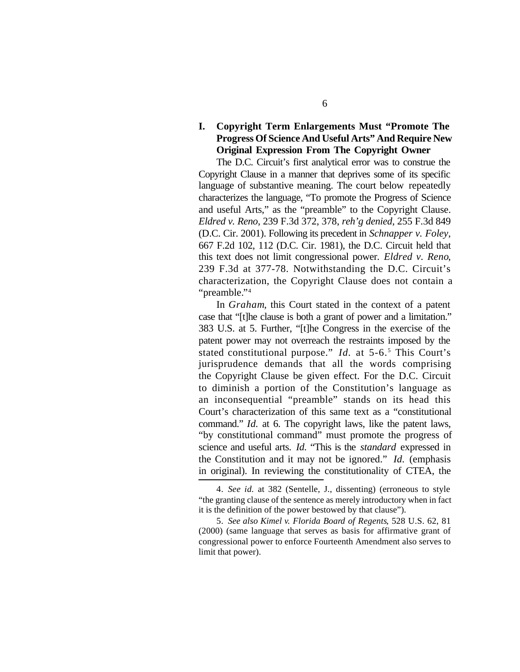### **I. Copyright Term Enlargements Must "Promote The Progress Of Science And Useful Arts" And Require New Original Expression From The Copyright Owner**

The D.C. Circuit's first analytical error was to construe the Copyright Clause in a manner that deprives some of its specific language of substantive meaning. The court below repeatedly characterizes the language, "To promote the Progress of Science and useful Arts," as the "preamble" to the Copyright Clause. *Eldred v. Reno*, 239 F.3d 372, 378, *reh'g denied*, 255 F.3d 849 (D.C. Cir. 2001). Following its precedent in *Schnapper v. Foley*, 667 F.2d 102, 112 (D.C. Cir. 1981), the D.C. Circuit held that this text does not limit congressional power. *Eldred v. Reno*, 239 F.3d at 377-78. Notwithstanding the D.C. Circuit's characterization, the Copyright Clause does not contain a "preamble." 4

In *Graham*, this Court stated in the context of a patent case that "[t]he clause is both a grant of power and a limitation." 383 U.S. at 5. Further, "[t]he Congress in the exercise of the patent power may not overreach the restraints imposed by the stated constitutional purpose." *Id.* at 5-6.<sup>5</sup> This Court's jurisprudence demands that all the words comprising the Copyright Clause be given effect. For the D.C. Circuit to diminish a portion of the Constitution's language as an inconsequential "preamble" stands on its head this Court's characterization of this same text as a "constitutional command." *Id.* at 6. The copyright laws, like the patent laws, "by constitutional command" must promote the progress of science and useful arts. *Id.* "This is the *standard* expressed in the Constitution and it may not be ignored." *Id.* (emphasis in original). In reviewing the constitutionality of CTEA, the

<sup>4.</sup> *See id.* at 382 (Sentelle, J., dissenting) (erroneous to style "the granting clause of the sentence as merely introductory when in fact it is the definition of the power bestowed by that clause").

<sup>5.</sup> *See also Kimel v. Florida Board of Regents*, 528 U.S. 62, 81 (2000) (same language that serves as basis for affirmative grant of congressional power to enforce Fourteenth Amendment also serves to limit that power).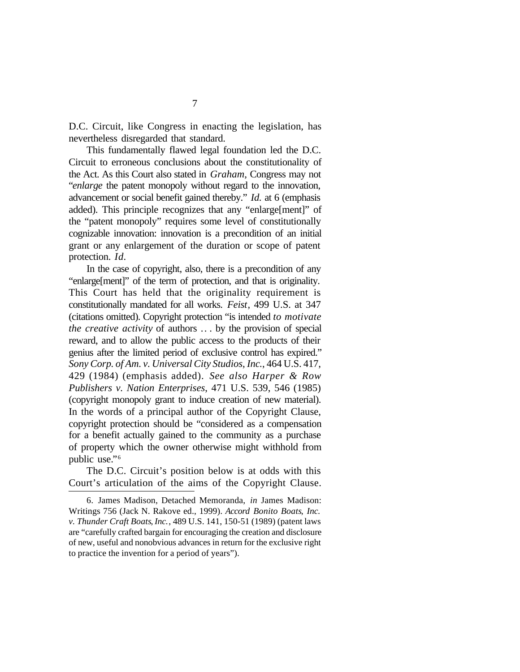D.C. Circuit, like Congress in enacting the legislation, has nevertheless disregarded that standard.

This fundamentally flawed legal foundation led the D.C. Circuit to erroneous conclusions about the constitutionality of the Act. As this Court also stated in *Graham*, Congress may not "*enlarge* the patent monopoly without regard to the innovation, advancement or social benefit gained thereby." *Id.* at 6 (emphasis added). This principle recognizes that any "enlarge[ment]" of the "patent monopoly" requires some level of constitutionally cognizable innovation: innovation is a precondition of an initial grant or any enlargement of the duration or scope of patent protection. *Id.*

In the case of copyright, also, there is a precondition of any "enlarge[ment]" of the term of protection, and that is originality. This Court has held that the originality requirement is constitutionally mandated for all works. *Feist*, 499 U.S. at 347 (citations omitted). Copyright protection "is intended *to motivate the creative activity* of authors .. . by the provision of special reward, and to allow the public access to the products of their genius after the limited period of exclusive control has expired." *Sony Corp. of Am. v. Universal City Studios*, *Inc.*, 464 U.S. 417, 429 (1984) (emphasis added). *See also Harper & Row Publishers v. Nation Enterprises*, 471 U.S. 539, 546 (1985) (copyright monopoly grant to induce creation of new material). In the words of a principal author of the Copyright Clause, copyright protection should be "considered as a compensation for a benefit actually gained to the community as a purchase of property which the owner otherwise might withhold from public use." 6

The D.C. Circuit's position below is at odds with this Court's articulation of the aims of the Copyright Clause.

<sup>6.</sup> James Madison, Detached Memoranda, *in* James Madison: Writings 756 (Jack N. Rakove ed., 1999). *Accord Bonito Boats*, *Inc. v. Thunder Craft Boats*, *Inc.*, 489 U.S. 141, 150-51 (1989) (patent laws are "carefully crafted bargain for encouraging the creation and disclosure of new, useful and nonobvious advances in return for the exclusive right to practice the invention for a period of years").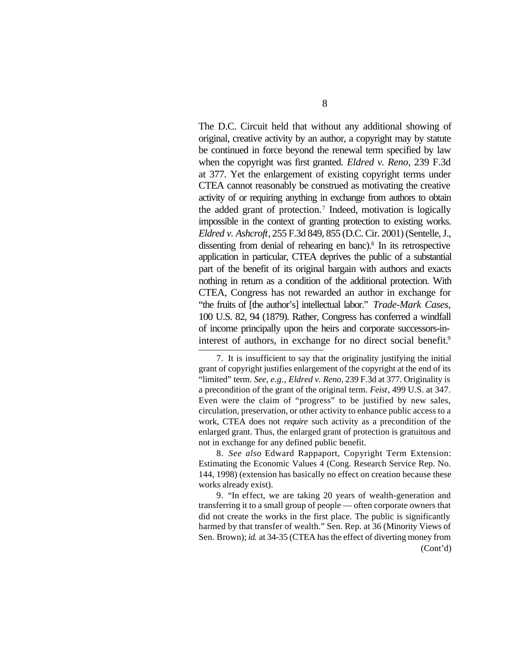The D.C. Circuit held that without any additional showing of original, creative activity by an author, a copyright may by statute be continued in force beyond the renewal term specified by law when the copyright was first granted. *Eldred v. Reno*, 239 F.3d at 377. Yet the enlargement of existing copyright terms under CTEA cannot reasonably be construed as motivating the creative activity of or requiring anything in exchange from authors to obtain the added grant of protection.<sup>7</sup> Indeed, motivation is logically impossible in the context of granting protection to existing works. *Eldred v. Ashcroft*, 255 F.3d 849, 855 (D.C. Cir. 2001) (Sentelle, J., dissenting from denial of rehearing en banc).<sup>8</sup> In its retrospective application in particular, CTEA deprives the public of a substantial part of the benefit of its original bargain with authors and exacts nothing in return as a condition of the additional protection. With CTEA, Congress has not rewarded an author in exchange for "the fruits of [the author's] intellectual labor." *Trade-Mark Cases*, 100 U.S. 82, 94 (1879). Rather, Congress has conferred a windfall of income principally upon the heirs and corporate successors-ininterest of authors, in exchange for no direct social benefit.<sup>9</sup>

8. *See also* Edward Rappaport, Copyright Term Extension: Estimating the Economic Values 4 (Cong. Research Service Rep. No. 144, 1998) (extension has basically no effect on creation because these works already exist).

9. "In effect, we are taking 20 years of wealth-generation and transferring it to a small group of people — often corporate owners that did not create the works in the first place. The public is significantly harmed by that transfer of wealth." Sen. Rep. at 36 (Minority Views of Sen. Brown); *id.* at 34-35 (CTEA has the effect of diverting money from (Cont'd)

<sup>7.</sup> It is insufficient to say that the originality justifying the initial grant of copyright justifies enlargement of the copyright at the end of its "limited" term. *See*, *e.g.*, *Eldred v. Reno*, 239 F.3d at 377. Originality is a precondition of the grant of the original term. *Feist*, 499 U.S. at 347. Even were the claim of "progress" to be justified by new sales, circulation, preservation, or other activity to enhance public access to a work, CTEA does not *require* such activity as a precondition of the enlarged grant. Thus, the enlarged grant of protection is gratuitous and not in exchange for any defined public benefit.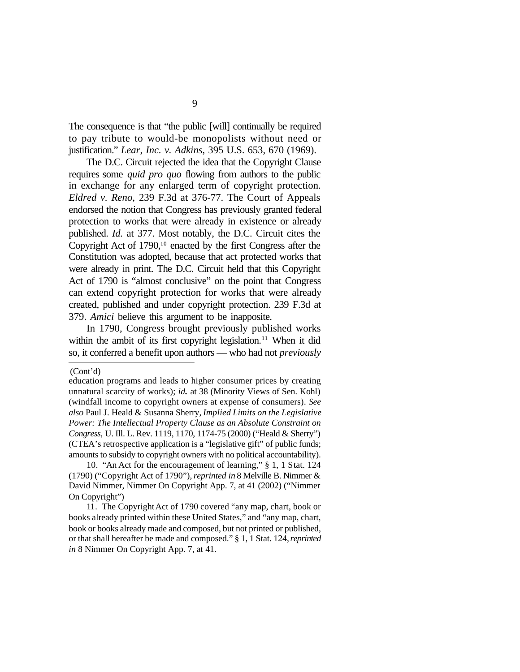The consequence is that "the public [will] continually be required to pay tribute to would-be monopolists without need or justification." *Lear*, *Inc. v. Adkins*, 395 U.S. 653, 670 (1969).

The D.C. Circuit rejected the idea that the Copyright Clause requires some *quid pro quo* flowing from authors to the public in exchange for any enlarged term of copyright protection. *Eldred v. Reno*, 239 F.3d at 376-77. The Court of Appeals endorsed the notion that Congress has previously granted federal protection to works that were already in existence or already published. *Id.* at 377. Most notably, the D.C. Circuit cites the Copyright Act of  $1790$ ,<sup>10</sup> enacted by the first Congress after the Constitution was adopted, because that act protected works that were already in print. The D.C. Circuit held that this Copyright Act of 1790 is "almost conclusive" on the point that Congress can extend copyright protection for works that were already created, published and under copyright protection. 239 F.3d at 379. *Amici* believe this argument to be inapposite.

In 1790, Congress brought previously published works within the ambit of its first copyright legislation.<sup>11</sup> When it did so, it conferred a benefit upon authors — who had not *previously*

(Cont'd)

10. "An Act for the encouragement of learning," § 1, 1 Stat. 124 (1790) ("Copyright Act of 1790"), *reprinted in* 8 Melville B. Nimmer & David Nimmer, Nimmer On Copyright App. 7, at 41 (2002) ("Nimmer On Copyright")

11. The Copyright Act of 1790 covered "any map, chart, book or books already printed within these United States," and "any map, chart, book or books already made and composed, but not printed or published, or that shall hereafter be made and composed." § 1, 1 Stat. 124, *reprinted in* 8 Nimmer On Copyright App. 7, at 41.

education programs and leads to higher consumer prices by creating unnatural scarcity of works); *id.* at 38 (Minority Views of Sen. Kohl) (windfall income to copyright owners at expense of consumers). *See also* Paul J. Heald & Susanna Sherry, *Implied Limits on the Legislative Power: The Intellectual Property Clause as an Absolute Constraint on Congress*, U. Ill. L. Rev. 1119, 1170, 1174-75 (2000) ("Heald & Sherry") (CTEA's retrospective application is a "legislative gift" of public funds; amounts to subsidy to copyright owners with no political accountability).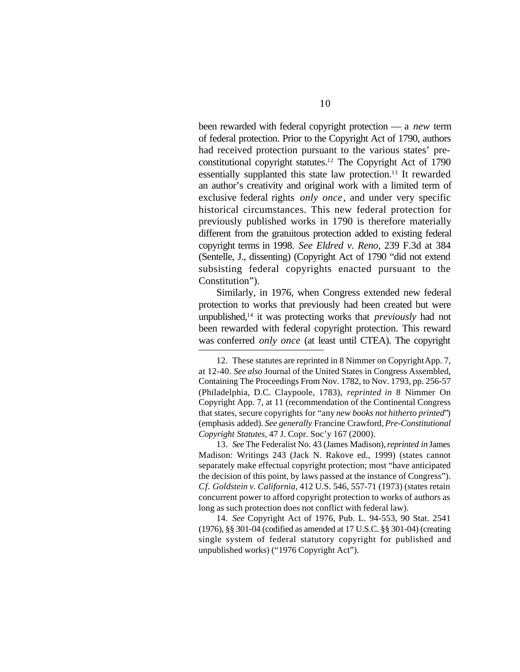been rewarded with federal copyright protection — a *new* term of federal protection. Prior to the Copyright Act of 1790, authors had received protection pursuant to the various states' preconstitutional copyright statutes.12 The Copyright Act of 1790 essentially supplanted this state law protection.13 It rewarded an author's creativity and original work with a limited term of exclusive federal rights *only once*, and under very specific historical circumstances. This new federal protection for previously published works in 1790 is therefore materially different from the gratuitous protection added to existing federal copyright terms in 1998. *See Eldred v. Reno*, 239 F.3d at 384 (Sentelle, J., dissenting) (Copyright Act of 1790 "did not extend subsisting federal copyrights enacted pursuant to the Constitution").

Similarly, in 1976, when Congress extended new federal protection to works that previously had been created but were unpublished,14 it was protecting works that *previously* had not been rewarded with federal copyright protection. This reward was conferred *only once* (at least until CTEA). The copyright

13. *See* The Federalist No. 43 (James Madison), *reprinted in* James Madison: Writings 243 (Jack N. Rakove ed., 1999) (states cannot separately make effectual copyright protection; most "have anticipated the decision of this point, by laws passed at the instance of Congress"). *Cf. Goldstein v. California*, 412 U.S. 546, 557-71 (1973) (states retain concurrent power to afford copyright protection to works of authors as long as such protection does not conflict with federal law).

14. *See* Copyright Act of 1976, Pub. L. 94-553, 90 Stat. 2541 (1976), §§ 301-04 (codified as amended at 17 U.S.C. §§ 301-04) (creating single system of federal statutory copyright for published and unpublished works) ("1976 Copyright Act").

<sup>12.</sup> These statutes are reprinted in 8 Nimmer on Copyright App. 7, at 12-40. *See also* Journal of the United States in Congress Assembled, Containing The Proceedings From Nov. 1782, to Nov. 1793, pp. 256-57 (Philadelphia, D.C. Claypoole, 1783), *reprinted in* 8 Nimmer On Copyright App. 7, at 11 (recommendation of the Continental Congress that states, secure copyrights for "any *new books not hitherto printed*") (emphasis added). *See generally* Francine Crawford, *Pre-Constitutional Copyright Statutes*, 47 J. Copr. Soc'y 167 (2000).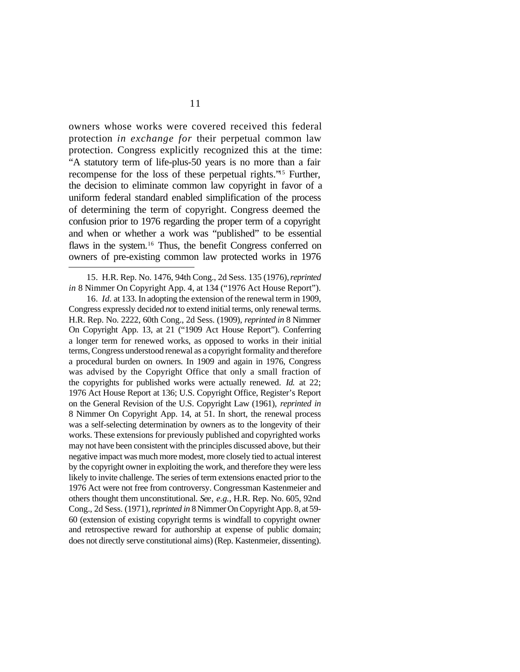owners whose works were covered received this federal protection *in exchange for* their perpetual common law protection. Congress explicitly recognized this at the time: "A statutory term of life-plus-50 years is no more than a fair recompense for the loss of these perpetual rights."15 Further, the decision to eliminate common law copyright in favor of a uniform federal standard enabled simplification of the process of determining the term of copyright. Congress deemed the confusion prior to 1976 regarding the proper term of a copyright and when or whether a work was "published" to be essential flaws in the system.<sup>16</sup> Thus, the benefit Congress conferred on owners of pre-existing common law protected works in 1976

<sup>15.</sup> H.R. Rep. No. 1476, 94th Cong., 2d Sess. 135 (1976), *reprinted in* 8 Nimmer On Copyright App. 4, at 134 ("1976 Act House Report").

<sup>16.</sup> *Id.* at 133. In adopting the extension of the renewal term in 1909, Congress expressly decided *not* to extend initial terms, only renewal terms. H.R. Rep. No. 2222, 60th Cong., 2d Sess. (1909), *reprinted in* 8 Nimmer On Copyright App. 13, at 21 ("1909 Act House Report"). Conferring a longer term for renewed works, as opposed to works in their initial terms, Congress understood renewal as a copyright formality and therefore a procedural burden on owners. In 1909 and again in 1976, Congress was advised by the Copyright Office that only a small fraction of the copyrights for published works were actually renewed. *Id.* at 22; 1976 Act House Report at 136; U.S. Copyright Office, Register's Report on the General Revision of the U.S. Copyright Law (1961), *reprinted in* 8 Nimmer On Copyright App. 14, at 51. In short, the renewal process was a self-selecting determination by owners as to the longevity of their works. These extensions for previously published and copyrighted works may not have been consistent with the principles discussed above, but their negative impact was much more modest, more closely tied to actual interest by the copyright owner in exploiting the work, and therefore they were less likely to invite challenge. The series of term extensions enacted prior to the 1976 Act were not free from controversy. Congressman Kastenmeier and others thought them unconstitutional. *See*, *e.g.*, H.R. Rep. No. 605, 92nd Cong., 2d Sess. (1971), *reprinted in* 8 Nimmer On Copyright App. 8, at 59- 60 (extension of existing copyright terms is windfall to copyright owner and retrospective reward for authorship at expense of public domain; does not directly serve constitutional aims) (Rep. Kastenmeier, dissenting).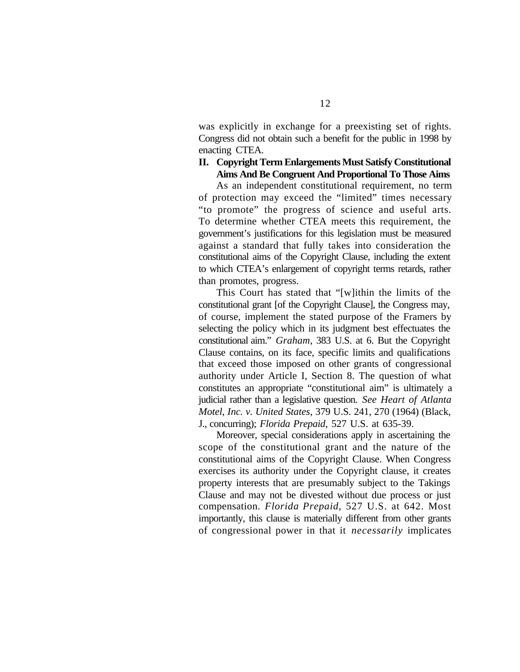was explicitly in exchange for a preexisting set of rights. Congress did not obtain such a benefit for the public in 1998 by enacting CTEA.

#### **II. Copyright Term Enlargements Must Satisfy Constitutional Aims And Be Congruent And Proportional To Those Aims**

As an independent constitutional requirement, no term of protection may exceed the "limited" times necessary "to promote" the progress of science and useful arts. To determine whether CTEA meets this requirement, the government's justifications for this legislation must be measured against a standard that fully takes into consideration the constitutional aims of the Copyright Clause, including the extent to which CTEA's enlargement of copyright terms retards, rather than promotes, progress.

This Court has stated that "[w]ithin the limits of the constitutional grant [of the Copyright Clause], the Congress may, of course, implement the stated purpose of the Framers by selecting the policy which in its judgment best effectuates the constitutional aim." *Graham*, 383 U.S. at 6. But the Copyright Clause contains, on its face, specific limits and qualifications that exceed those imposed on other grants of congressional authority under Article I, Section 8. The question of what constitutes an appropriate "constitutional aim" is ultimately a judicial rather than a legislative question. *See Heart of Atlanta Motel*, *Inc. v. United States*, 379 U.S. 241, 270 (1964) (Black, J., concurring); *Florida Prepaid*, 527 U.S. at 635-39.

Moreover, special considerations apply in ascertaining the scope of the constitutional grant and the nature of the constitutional aims of the Copyright Clause. When Congress exercises its authority under the Copyright clause, it creates property interests that are presumably subject to the Takings Clause and may not be divested without due process or just compensation. *Florida Prepaid*, 527 U.S. at 642. Most importantly, this clause is materially different from other grants of congressional power in that it *necessarily* implicates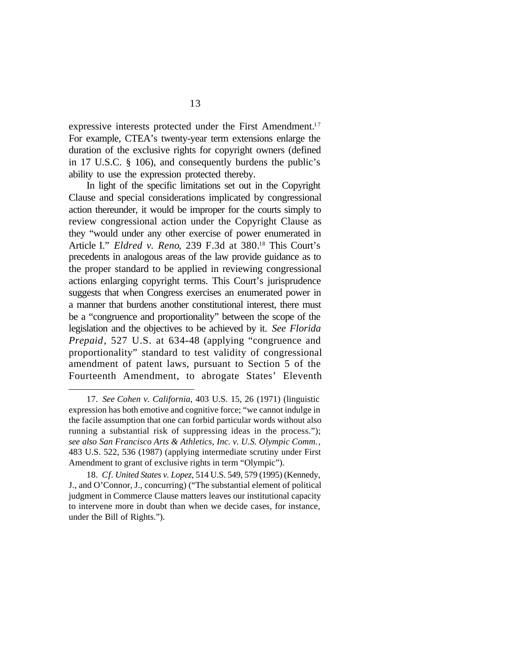expressive interests protected under the First Amendment.<sup>17</sup> For example, CTEA's twenty-year term extensions enlarge the duration of the exclusive rights for copyright owners (defined in 17 U.S.C. § 106), and consequently burdens the public's ability to use the expression protected thereby.

In light of the specific limitations set out in the Copyright Clause and special considerations implicated by congressional action thereunder, it would be improper for the courts simply to review congressional action under the Copyright Clause as they "would under any other exercise of power enumerated in Article I." *Eldred v. Reno*, 239 F.3d at 380.<sup>18</sup> This Court's precedents in analogous areas of the law provide guidance as to the proper standard to be applied in reviewing congressional actions enlarging copyright terms. This Court's jurisprudence suggests that when Congress exercises an enumerated power in a manner that burdens another constitutional interest, there must be a "congruence and proportionality" between the scope of the legislation and the objectives to be achieved by it. *See Florida Prepaid*, 527 U.S. at 634**-**48 (applying "congruence and proportionality" standard to test validity of congressional amendment of patent laws, pursuant to Section 5 of the Fourteenth Amendment, to abrogate States' Eleventh

<sup>17.</sup> *See Cohen v. California*, 403 U.S. 15, 26 (1971) (linguistic expression has both emotive and cognitive force; "we cannot indulge in the facile assumption that one can forbid particular words without also running a substantial risk of suppressing ideas in the process."); *see also San Francisco Arts & Athletics*, *Inc. v. U.S. Olympic Comm.*, 483 U.S. 522, 536 (1987) (applying intermediate scrutiny under First Amendment to grant of exclusive rights in term "Olympic").

<sup>18.</sup> *Cf. United States v. Lopez*, 514 U.S. 549, 579 (1995) (Kennedy, J., and O'Connor, J., concurring) ("The substantial element of political judgment in Commerce Clause matters leaves our institutional capacity to intervene more in doubt than when we decide cases, for instance, under the Bill of Rights.").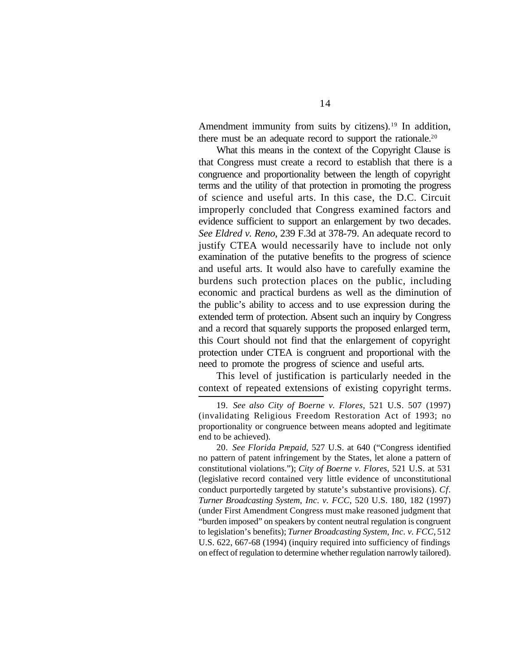Amendment immunity from suits by citizens).<sup>19</sup> In addition, there must be an adequate record to support the rationale.<sup>20</sup>

What this means in the context of the Copyright Clause is that Congress must create a record to establish that there is a congruence and proportionality between the length of copyright terms and the utility of that protection in promoting the progress of science and useful arts. In this case, the D.C. Circuit improperly concluded that Congress examined factors and evidence sufficient to support an enlargement by two decades. *See Eldred v. Reno*, 239 F.3d at 378-79. An adequate record to justify CTEA would necessarily have to include not only examination of the putative benefits to the progress of science and useful arts. It would also have to carefully examine the burdens such protection places on the public, including economic and practical burdens as well as the diminution of the public's ability to access and to use expression during the extended term of protection. Absent such an inquiry by Congress and a record that squarely supports the proposed enlarged term, this Court should not find that the enlargement of copyright protection under CTEA is congruent and proportional with the need to promote the progress of science and useful arts.

This level of justification is particularly needed in the context of repeated extensions of existing copyright terms.

20. *See Florida Prepaid*, 527 U.S. at 640 ("Congress identified no pattern of patent infringement by the States, let alone a pattern of constitutional violations."); *City of Boerne v. Flores*, 521 U.S. at 531 (legislative record contained very little evidence of unconstitutional conduct purportedly targeted by statute's substantive provisions). *Cf. Turner Broadcasting System*, *Inc. v. FCC*, 520 U.S. 180, 182 (1997) (under First Amendment Congress must make reasoned judgment that "burden imposed" on speakers by content neutral regulation is congruent to legislation's benefits); *Turner Broadcasting System*, *Inc. v. FCC*, 512 U.S. 622, 667-68 (1994) (inquiry required into sufficiency of findings on effect of regulation to determine whether regulation narrowly tailored).

<sup>19.</sup> *See also City of Boerne v. Flores*, 521 U.S. 507 (1997) (invalidating Religious Freedom Restoration Act of 1993; no proportionality or congruence between means adopted and legitimate end to be achieved).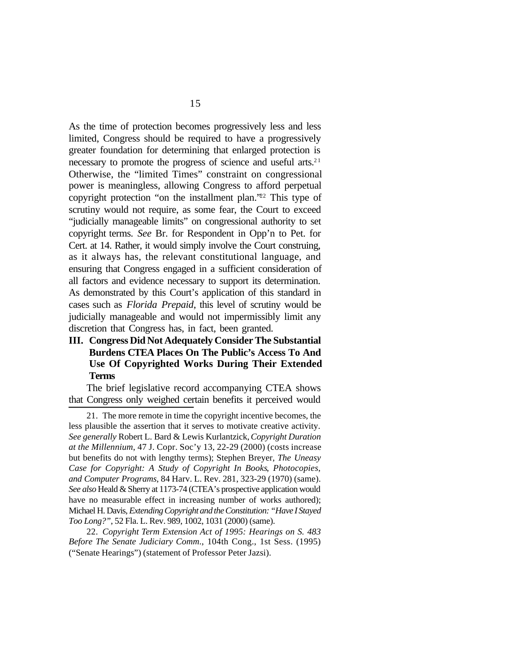As the time of protection becomes progressively less and less limited, Congress should be required to have a progressively greater foundation for determining that enlarged protection is necessary to promote the progress of science and useful arts.<sup>21</sup> Otherwise, the "limited Times" constraint on congressional power is meaningless, allowing Congress to afford perpetual copyright protection "on the installment plan."22 This type of scrutiny would not require, as some fear, the Court to exceed "judicially manageable limits" on congressional authority to set copyright terms. *See* Br. for Respondent in Opp'n to Pet. for Cert. at 14. Rather, it would simply involve the Court construing, as it always has, the relevant constitutional language, and ensuring that Congress engaged in a sufficient consideration of all factors and evidence necessary to support its determination. As demonstrated by this Court's application of this standard in cases such as *Florida Prepaid*, this level of scrutiny would be judicially manageable and would not impermissibly limit any discretion that Congress has, in fact, been granted.

#### **III. Congress Did Not Adequately Consider The Substantial Burdens CTEA Places On The Public's Access To And Use Of Copyrighted Works During Their Extended Terms**

The brief legislative record accompanying CTEA shows that Congress only weighed certain benefits it perceived would

<sup>21.</sup> The more remote in time the copyright incentive becomes, the less plausible the assertion that it serves to motivate creative activity. *See generally* Robert L. Bard & Lewis Kurlantzick, *Copyright Duration at the Millennium*, 47 J. Copr. Soc'y 13, 22-29 (2000) (costs increase but benefits do not with lengthy terms); Stephen Breyer, *The Uneasy Case for Copyright: A Study of Copyright In Books*, *Photocopies*, *and Computer Programs*, 84 Harv. L. Rev. 281, 323-29 (1970) (same). *See also* Heald & Sherry at 1173-74 (CTEA's prospective application would have no measurable effect in increasing number of works authored); Michael H. Davis, *Extending Copyright and the Constitution: "Have I Stayed Too Long?"*, 52 Fla. L. Rev. 989, 1002, 1031 (2000) (same).

<sup>22.</sup> *Copyright Term Extension Act of 1995: Hearings on S. 483 Before The Senate Judiciary Comm*., 104th Cong., 1st Sess. (1995) ("Senate Hearings") (statement of Professor Peter Jazsi).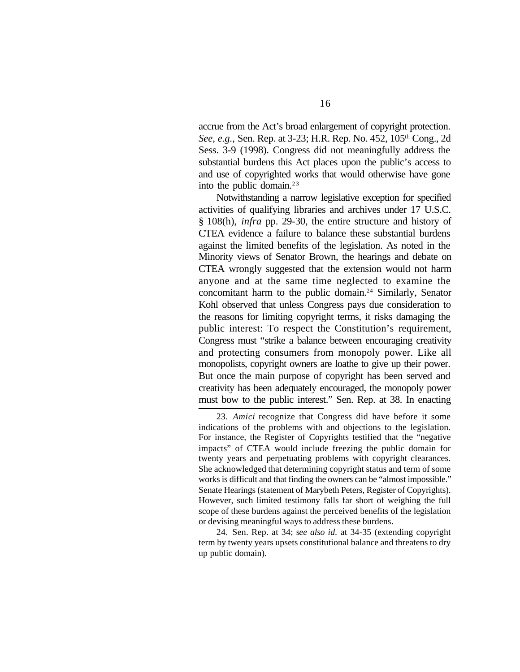accrue from the Act's broad enlargement of copyright protection. *See*, *e.g.*, Sen. Rep. at 3-23; H.R. Rep. No. 452, 105th Cong., 2d Sess. 3-9 (1998). Congress did not meaningfully address the substantial burdens this Act places upon the public's access to and use of copyrighted works that would otherwise have gone into the public domain. $2<sup>3</sup>$ 

Notwithstanding a narrow legislative exception for specified activities of qualifying libraries and archives under 17 U.S.C. § 108(h), *infra* pp. 29-30, the entire structure and history of CTEA evidence a failure to balance these substantial burdens against the limited benefits of the legislation. As noted in the Minority views of Senator Brown, the hearings and debate on CTEA wrongly suggested that the extension would not harm anyone and at the same time neglected to examine the concomitant harm to the public domain.24 Similarly, Senator Kohl observed that unless Congress pays due consideration to the reasons for limiting copyright terms, it risks damaging the public interest: To respect the Constitution's requirement, Congress must "strike a balance between encouraging creativity and protecting consumers from monopoly power. Like all monopolists, copyright owners are loathe to give up their power. But once the main purpose of copyright has been served and creativity has been adequately encouraged, the monopoly power must bow to the public interest." Sen. Rep. at 38. In enacting

24. Sen. Rep. at 34; s*ee also id.* at 34-35 (extending copyright term by twenty years upsets constitutional balance and threatens to dry up public domain).

<sup>23.</sup> *Amici* recognize that Congress did have before it some indications of the problems with and objections to the legislation. For instance, the Register of Copyrights testified that the "negative impacts" of CTEA would include freezing the public domain for twenty years and perpetuating problems with copyright clearances. She acknowledged that determining copyright status and term of some works is difficult and that finding the owners can be "almost impossible." Senate Hearings (statement of Marybeth Peters, Register of Copyrights). However, such limited testimony falls far short of weighing the full scope of these burdens against the perceived benefits of the legislation or devising meaningful ways to address these burdens.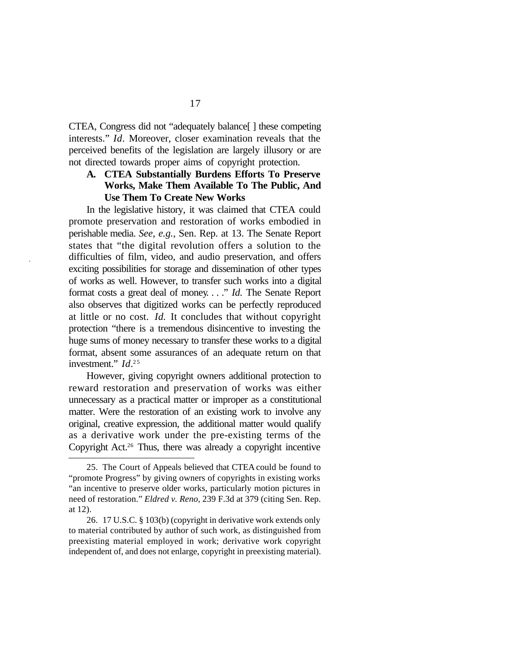CTEA, Congress did not "adequately balance[ ] these competing interests." *Id.* Moreover, closer examination reveals that the perceived benefits of the legislation are largely illusory or are not directed towards proper aims of copyright protection.

#### **A. CTEA Substantially Burdens Efforts To Preserve Works, Make Them Available To The Public, And Use Them To Create New Works**

In the legislative history, it was claimed that CTEA could promote preservation and restoration of works embodied in perishable media. *See*, *e.g.*, Sen. Rep. at 13. The Senate Report states that "the digital revolution offers a solution to the difficulties of film, video, and audio preservation, and offers exciting possibilities for storage and dissemination of other types of works as well. However, to transfer such works into a digital format costs a great deal of money. . . ." *Id.* The Senate Report also observes that digitized works can be perfectly reproduced at little or no cost. *Id.* It concludes that without copyright protection "there is a tremendous disincentive to investing the huge sums of money necessary to transfer these works to a digital format, absent some assurances of an adequate return on that investment." *Id.*<sup>25</sup>

However, giving copyright owners additional protection to reward restoration and preservation of works was either unnecessary as a practical matter or improper as a constitutional matter. Were the restoration of an existing work to involve any original, creative expression, the additional matter would qualify as a derivative work under the pre-existing terms of the Copyright Act.26 Thus, there was already a copyright incentive

<sup>25.</sup> The Court of Appeals believed that CTEA could be found to "promote Progress" by giving owners of copyrights in existing works "an incentive to preserve older works, particularly motion pictures in need of restoration." *Eldred v. Reno*, 239 F.3d at 379 (citing Sen. Rep. at 12).

<sup>26.</sup> 17 U.S.C. § 103(b) (copyright in derivative work extends only to material contributed by author of such work, as distinguished from preexisting material employed in work; derivative work copyright independent of, and does not enlarge, copyright in preexisting material).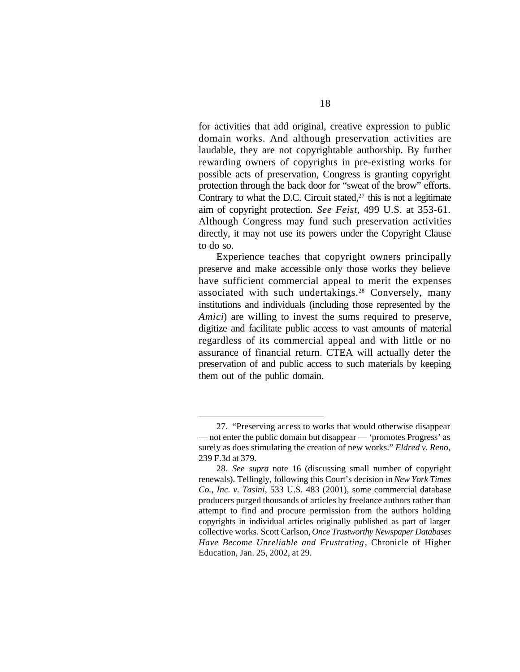for activities that add original, creative expression to public domain works. And although preservation activities are laudable, they are not copyrightable authorship. By further rewarding owners of copyrights in pre-existing works for possible acts of preservation, Congress is granting copyright protection through the back door for "sweat of the brow" efforts. Contrary to what the D.C. Circuit stated, $27$  this is not a legitimate aim of copyright protection. *See Feist*, 499 U.S. at 353-61. Although Congress may fund such preservation activities directly, it may not use its powers under the Copyright Clause to do so.

Experience teaches that copyright owners principally preserve and make accessible only those works they believe have sufficient commercial appeal to merit the expenses associated with such undertakings.<sup>28</sup> Conversely, many institutions and individuals (including those represented by the *Amici*) are willing to invest the sums required to preserve, digitize and facilitate public access to vast amounts of material regardless of its commercial appeal and with little or no assurance of financial return. CTEA will actually deter the preservation of and public access to such materials by keeping them out of the public domain.

<sup>27.</sup> "Preserving access to works that would otherwise disappear — not enter the public domain but disappear — 'promotes Progress' as surely as does stimulating the creation of new works." *Eldred v. Reno*, 239 F.3d at 379.

<sup>28.</sup> *See supra* note 16 (discussing small number of copyright renewals). Tellingly, following this Court's decision in *New York Times Co.*, *Inc. v. Tasini*, 533 U.S. 483 (2001), some commercial database producers purged thousands of articles by freelance authors rather than attempt to find and procure permission from the authors holding copyrights in individual articles originally published as part of larger collective works. Scott Carlson, *Once Trustworthy Newspaper Databases Have Become Unreliable and Frustrating*, Chronicle of Higher Education, Jan. 25, 2002, at 29.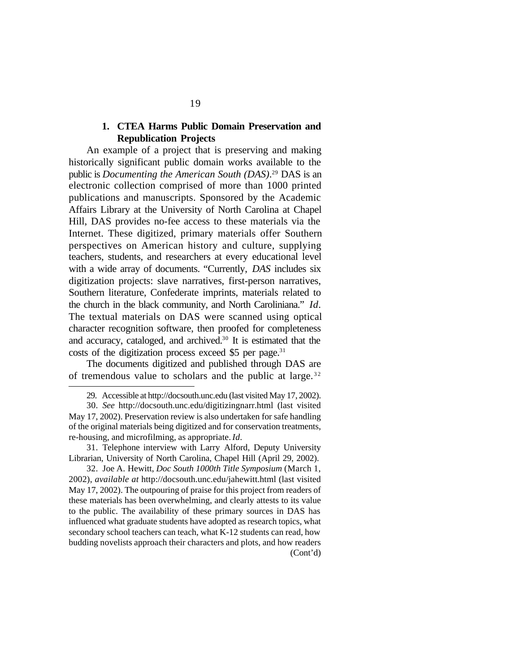#### **1. CTEA Harms Public Domain Preservation and Republication Projects**

An example of a project that is preserving and making historically significant public domain works available to the public is *Documenting the American South (DAS)*. <sup>29</sup> DAS is an electronic collection comprised of more than 1000 printed publications and manuscripts. Sponsored by the Academic Affairs Library at the University of North Carolina at Chapel Hill, DAS provides no-fee access to these materials via the Internet. These digitized, primary materials offer Southern perspectives on American history and culture, supplying teachers, students, and researchers at every educational level with a wide array of documents. "Currently, *DAS* includes six digitization projects: slave narratives, first-person narratives, Southern literature, Confederate imprints, materials related to the church in the black community, and North Caroliniana." *Id.* The textual materials on DAS were scanned using optical character recognition software, then proofed for completeness and accuracy, cataloged, and archived.30 It is estimated that the costs of the digitization process exceed  $$5$  per page.<sup>31</sup>

The documents digitized and published through DAS are of tremendous value to scholars and the public at large.  $32$ 

<sup>29.</sup> Accessible at http://docsouth.unc.edu (last visited May 17, 2002).

<sup>30.</sup> *See* http://docsouth.unc.edu/digitizingnarr.html (last visited May 17, 2002). Preservation review is also undertaken for safe handling of the original materials being digitized and for conservation treatments, re-housing, and microfilming, as appropriate. *Id.*

<sup>31.</sup> Telephone interview with Larry Alford, Deputy University Librarian, University of North Carolina, Chapel Hill (April 29, 2002).

<sup>32.</sup> Joe A. Hewitt, *Doc South 1000th Title Symposium* (March 1, 2002), *available at* http://docsouth.unc.edu/jahewitt.html (last visited May 17, 2002). The outpouring of praise for this project from readers of these materials has been overwhelming, and clearly attests to its value to the public. The availability of these primary sources in DAS has influenced what graduate students have adopted as research topics, what secondary school teachers can teach, what K-12 students can read, how budding novelists approach their characters and plots, and how readers (Cont'd)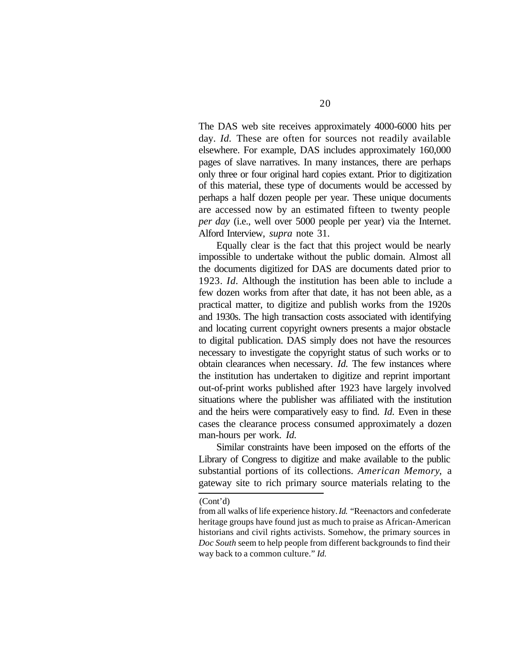The DAS web site receives approximately 4000-6000 hits per day. *Id.* These are often for sources not readily available elsewhere. For example, DAS includes approximately 160,000 pages of slave narratives. In many instances, there are perhaps only three or four original hard copies extant. Prior to digitization of this material, these type of documents would be accessed by perhaps a half dozen people per year. These unique documents are accessed now by an estimated fifteen to twenty people *per day* (i.e., well over 5000 people per year) via the Internet. Alford Interview, *supra* note 31.

Equally clear is the fact that this project would be nearly impossible to undertake without the public domain. Almost all the documents digitized for DAS are documents dated prior to 1923. *Id.* Although the institution has been able to include a few dozen works from after that date, it has not been able, as a practical matter, to digitize and publish works from the 1920s and 1930s. The high transaction costs associated with identifying and locating current copyright owners presents a major obstacle to digital publication. DAS simply does not have the resources necessary to investigate the copyright status of such works or to obtain clearances when necessary. *Id.* The few instances where the institution has undertaken to digitize and reprint important out-of-print works published after 1923 have largely involved situations where the publisher was affiliated with the institution and the heirs were comparatively easy to find. *Id.* Even in these cases the clearance process consumed approximately a dozen man-hours per work. *Id.*

Similar constraints have been imposed on the efforts of the Library of Congress to digitize and make available to the public substantial portions of its collections. *American Memory*, a gateway site to rich primary source materials relating to the

(Cont'd)

from all walks of life experience history. *Id.* "Reenactors and confederate heritage groups have found just as much to praise as African-American historians and civil rights activists. Somehow, the primary sources in *Doc South* seem to help people from different backgrounds to find their way back to a common culture." *Id.*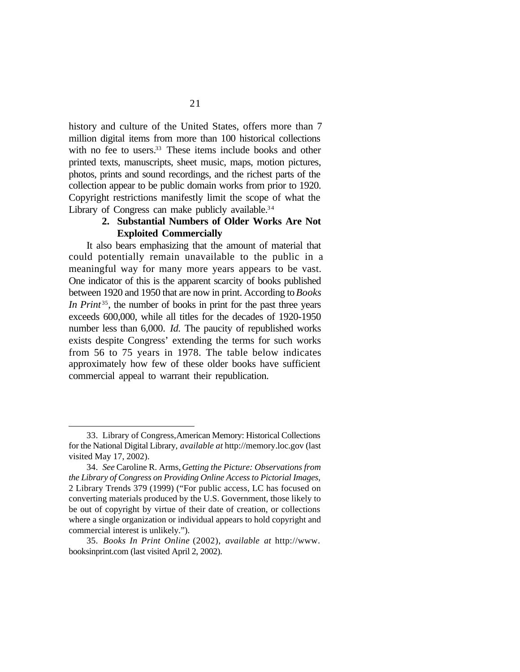history and culture of the United States, offers more than 7 million digital items from more than 100 historical collections with no fee to users.<sup>33</sup> These items include books and other printed texts, manuscripts, sheet music, maps, motion pictures, photos, prints and sound recordings, and the richest parts of the collection appear to be public domain works from prior to 1920. Copyright restrictions manifestly limit the scope of what the Library of Congress can make publicly available.<sup>34</sup>

#### **2. Substantial Numbers of Older Works Are Not Exploited Commercially**

It also bears emphasizing that the amount of material that could potentially remain unavailable to the public in a meaningful way for many more years appears to be vast. One indicator of this is the apparent scarcity of books published between 1920 and 1950 that are now in print. According to *Books In Print* <sup>35</sup>, the number of books in print for the past three years exceeds 600,000, while all titles for the decades of 1920-1950 number less than 6,000. *Id.* The paucity of republished works exists despite Congress' extending the terms for such works from 56 to 75 years in 1978. The table below indicates approximately how few of these older books have sufficient commercial appeal to warrant their republication.

<sup>33.</sup> Library of Congress, American Memory: Historical Collections for the National Digital Library, *available at* http://memory.loc.gov (last visited May 17, 2002).

<sup>34.</sup> *See* Caroline R. Arms, *Getting the Picture: Observations from the Library of Congress on Providing Online Access to Pictorial Images*, 2 Library Trends 379 (1999) ("For public access, LC has focused on converting materials produced by the U.S. Government, those likely to be out of copyright by virtue of their date of creation, or collections where a single organization or individual appears to hold copyright and commercial interest is unlikely.").

<sup>35.</sup> *Books In Print Online* (2002), *available at* http://www. booksinprint.com (last visited April 2, 2002).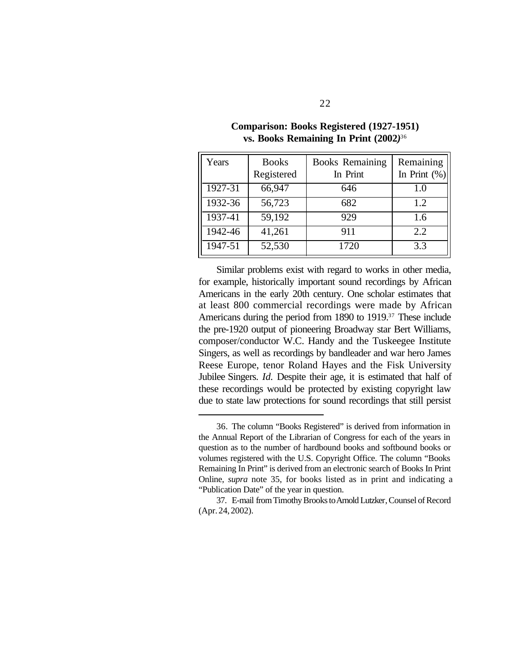| Years   | <b>Books</b><br>Registered | <b>Books Remaining</b><br>In Print | Remaining<br>In Print $(\%)$ |
|---------|----------------------------|------------------------------------|------------------------------|
| 1927-31 | 66,947                     | 646                                | 1.0                          |
| 1932-36 | 56,723                     | 682                                | 1.2                          |
| 1937-41 | 59,192                     | 929                                | 1.6                          |
| 1942-46 | 41,261                     | 911                                | 2.2                          |
| 1947-51 | 52,530                     | 1720                               | 3.3                          |

#### **Comparison: Books Registered (1927-1951) vs. Books Remaining In Print (2002***)* 36

Similar problems exist with regard to works in other media, for example, historically important sound recordings by African Americans in the early 20th century. One scholar estimates that at least 800 commercial recordings were made by African Americans during the period from 1890 to 1919.37 These include the pre-1920 output of pioneering Broadway star Bert Williams, composer/conductor W.C. Handy and the Tuskeegee Institute Singers, as well as recordings by bandleader and war hero James Reese Europe, tenor Roland Hayes and the Fisk University Jubilee Singers. *Id.* Despite their age, it is estimated that half of these recordings would be protected by existing copyright law due to state law protections for sound recordings that still persist

<sup>36.</sup> The column "Books Registered" is derived from information in the Annual Report of the Librarian of Congress for each of the years in question as to the number of hardbound books and softbound books or volumes registered with the U.S. Copyright Office. The column "Books Remaining In Print" is derived from an electronic search of Books In Print Online, *supra* note 35, for books listed as in print and indicating a "Publication Date" of the year in question.

<sup>37.</sup> E-mail from Timothy Brooks to Arnold Lutzker, Counsel of Record (Apr. 24, 2002).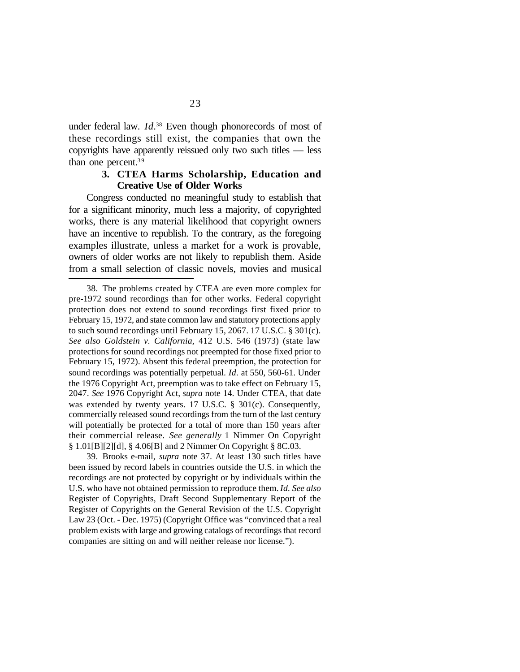under federal law. *Id.*<sup>38</sup> Even though phonorecords of most of these recordings still exist, the companies that own the copyrights have apparently reissued only two such titles — less than one percent.<sup>39</sup>

#### **3. CTEA Harms Scholarship, Education and Creative Use of Older Works**

Congress conducted no meaningful study to establish that for a significant minority, much less a majority, of copyrighted works, there is any material likelihood that copyright owners have an incentive to republish. To the contrary, as the foregoing examples illustrate, unless a market for a work is provable, owners of older works are not likely to republish them. Aside from a small selection of classic novels, movies and musical

39. Brooks e-mail, *supra* note 37. At least 130 such titles have been issued by record labels in countries outside the U.S. in which the recordings are not protected by copyright or by individuals within the U.S. who have not obtained permission to reproduce them. *Id. See also* Register of Copyrights, Draft Second Supplementary Report of the Register of Copyrights on the General Revision of the U.S. Copyright Law 23 (Oct. - Dec. 1975) (Copyright Office was "convinced that a real problem exists with large and growing catalogs of recordings that record companies are sitting on and will neither release nor license.").

<sup>38.</sup> The problems created by CTEA are even more complex for pre-1972 sound recordings than for other works. Federal copyright protection does not extend to sound recordings first fixed prior to February 15, 1972, and state common law and statutory protections apply to such sound recordings until February 15, 2067. 17 U.S.C. § 301(c). *See also Goldstein v. California*, 412 U.S. 546 (1973) (state law protections for sound recordings not preempted for those fixed prior to February 15, 1972). Absent this federal preemption, the protection for sound recordings was potentially perpetual. *Id.* at 550, 560-61. Under the 1976 Copyright Act, preemption was to take effect on February 15, 2047. *See* 1976 Copyright Act, *supra* note 14. Under CTEA, that date was extended by twenty years. 17 U.S.C. § 301(c). Consequently, commercially released sound recordings from the turn of the last century will potentially be protected for a total of more than 150 years after their commercial release. *See generally* 1 Nimmer On Copyright § 1.01[B][2][d], § 4.06[B] and 2 Nimmer On Copyright § 8C.03.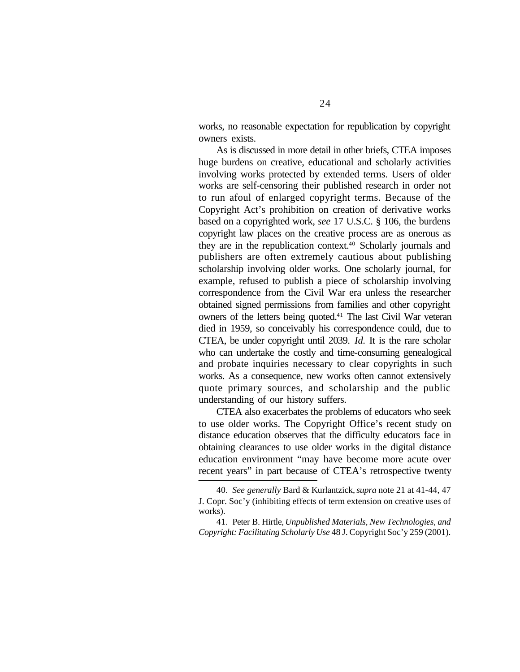works, no reasonable expectation for republication by copyright owners exists.

As is discussed in more detail in other briefs, CTEA imposes huge burdens on creative, educational and scholarly activities involving works protected by extended terms. Users of older works are self-censoring their published research in order not to run afoul of enlarged copyright terms. Because of the Copyright Act's prohibition on creation of derivative works based on a copyrighted work, *see* 17 U.S.C. § 106, the burdens copyright law places on the creative process are as onerous as they are in the republication context.40 Scholarly journals and publishers are often extremely cautious about publishing scholarship involving older works. One scholarly journal, for example, refused to publish a piece of scholarship involving correspondence from the Civil War era unless the researcher obtained signed permissions from families and other copyright owners of the letters being quoted.41 The last Civil War veteran died in 1959, so conceivably his correspondence could, due to CTEA, be under copyright until 2039. *Id.* It is the rare scholar who can undertake the costly and time-consuming genealogical and probate inquiries necessary to clear copyrights in such works. As a consequence, new works often cannot extensively quote primary sources, and scholarship and the public understanding of our history suffers.

CTEA also exacerbates the problems of educators who seek to use older works. The Copyright Office's recent study on distance education observes that the difficulty educators face in obtaining clearances to use older works in the digital distance education environment "may have become more acute over recent years" in part because of CTEA's retrospective twenty

<sup>40.</sup> *See generally* Bard & Kurlantzick, *supra* note 21 at 41-44, 47 J. Copr. Soc'y (inhibiting effects of term extension on creative uses of works).

<sup>41.</sup> Peter B. Hirtle, *Unpublished Materials, New Technologies, and Copyright: Facilitating Scholarly Use* 48 J. Copyright Soc'y 259 (2001).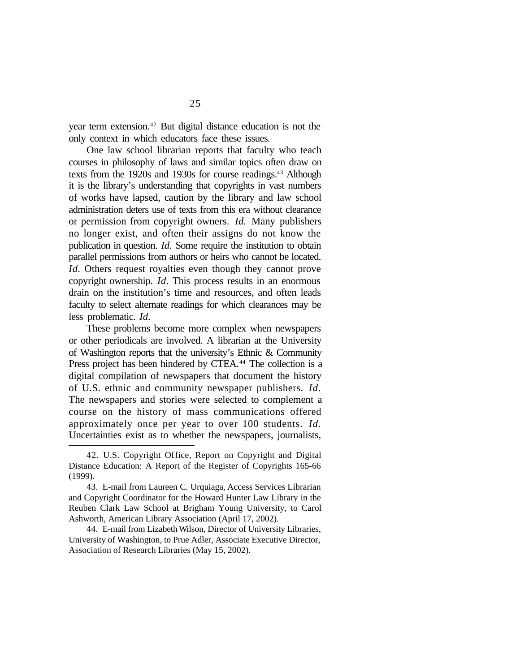year term extension.42 But digital distance education is not the only context in which educators face these issues.

One law school librarian reports that faculty who teach courses in philosophy of laws and similar topics often draw on texts from the 1920s and 1930s for course readings.<sup>43</sup> Although it is the library's understanding that copyrights in vast numbers of works have lapsed, caution by the library and law school administration deters use of texts from this era without clearance or permission from copyright owners. *Id.* Many publishers no longer exist, and often their assigns do not know the publication in question. *Id.* Some require the institution to obtain parallel permissions from authors or heirs who cannot be located. *Id.* Others request royalties even though they cannot prove copyright ownership. *Id.* This process results in an enormous drain on the institution's time and resources, and often leads faculty to select alternate readings for which clearances may be less problematic. *Id.*

These problems become more complex when newspapers or other periodicals are involved. A librarian at the University of Washington reports that the university's Ethnic & Community Press project has been hindered by CTEA.<sup>44</sup> The collection is a digital compilation of newspapers that document the history of U.S. ethnic and community newspaper publishers. *Id.* The newspapers and stories were selected to complement a course on the history of mass communications offered approximately once per year to over 100 students. *Id.* Uncertainties exist as to whether the newspapers, journalists,

<sup>42.</sup> U.S. Copyright Office, Report on Copyright and Digital Distance Education: A Report of the Register of Copyrights 165-66 (1999).

<sup>43.</sup> E-mail from Laureen C. Urquiaga, Access Services Librarian and Copyright Coordinator for the Howard Hunter Law Library in the Reuben Clark Law School at Brigham Young University, to Carol Ashworth, American Library Association (April 17, 2002).

<sup>44.</sup> E-mail from Lizabeth Wilson, Director of University Libraries, University of Washington, to Prue Adler, Associate Executive Director, Association of Research Libraries (May 15, 2002).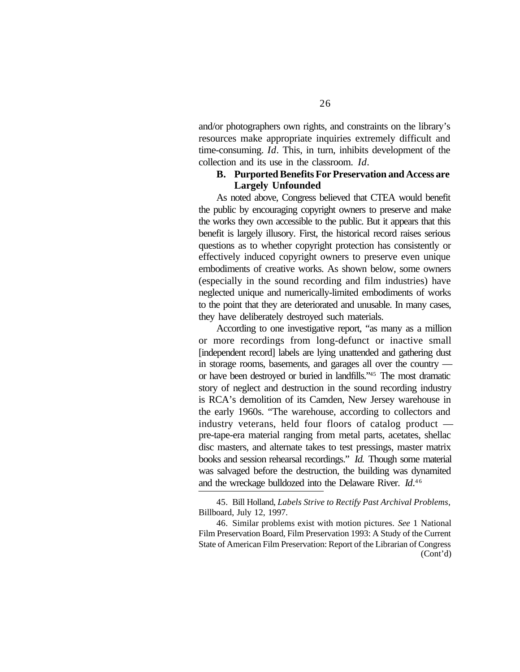and/or photographers own rights, and constraints on the library's resources make appropriate inquiries extremely difficult and time-consuming. *Id.* This, in turn, inhibits development of the collection and its use in the classroom. *Id.*

#### **B. Purported Benefits For Preservation and Access are Largely Unfounded**

As noted above, Congress believed that CTEA would benefit the public by encouraging copyright owners to preserve and make the works they own accessible to the public. But it appears that this benefit is largely illusory. First, the historical record raises serious questions as to whether copyright protection has consistently or effectively induced copyright owners to preserve even unique embodiments of creative works. As shown below, some owners (especially in the sound recording and film industries) have neglected unique and numerically-limited embodiments of works to the point that they are deteriorated and unusable. In many cases, they have deliberately destroyed such materials.

According to one investigative report, "as many as a million or more recordings from long-defunct or inactive small [independent record] labels are lying unattended and gathering dust in storage rooms, basements, and garages all over the country or have been destroyed or buried in landfills."45 The most dramatic story of neglect and destruction in the sound recording industry is RCA's demolition of its Camden, New Jersey warehouse in the early 1960s. "The warehouse, according to collectors and industry veterans, held four floors of catalog product pre-tape-era material ranging from metal parts, acetates, shellac disc masters, and alternate takes to test pressings, master matrix books and session rehearsal recordings." *Id.* Though some material was salvaged before the destruction, the building was dynamited and the wreckage bulldozed into the Delaware River. *Id*.<sup>46</sup>

<sup>45.</sup> Bill Holland, *Labels Strive to Rectify Past Archival Problems*, Billboard, July 12, 1997.

<sup>46.</sup> Similar problems exist with motion pictures. *See* 1 National Film Preservation Board, Film Preservation 1993: A Study of the Current State of American Film Preservation: Report of the Librarian of Congress (Cont'd)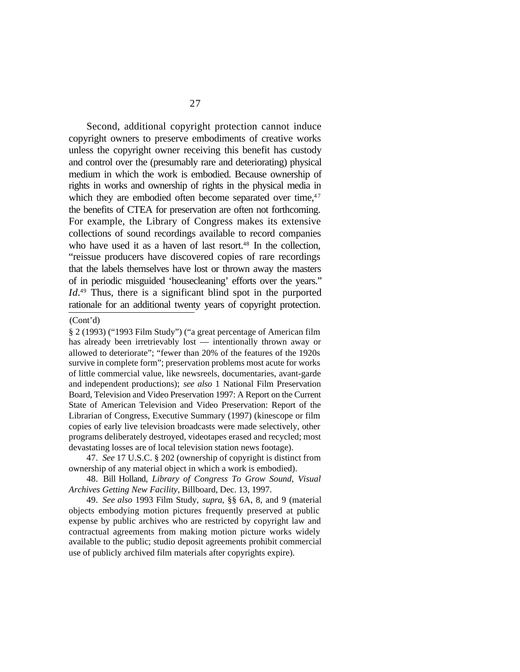Second, additional copyright protection cannot induce copyright owners to preserve embodiments of creative works unless the copyright owner receiving this benefit has custody and control over the (presumably rare and deteriorating) physical medium in which the work is embodied. Because ownership of rights in works and ownership of rights in the physical media in which they are embodied often become separated over time, $47$ the benefits of CTEA for preservation are often not forthcoming. For example, the Library of Congress makes its extensive collections of sound recordings available to record companies who have used it as a haven of last resort.<sup>48</sup> In the collection, "reissue producers have discovered copies of rare recordings that the labels themselves have lost or thrown away the masters of in periodic misguided 'housecleaning' efforts over the years." *Id.*49 Thus, there is a significant blind spot in the purported rationale for an additional twenty years of copyright protection.

<sup>(</sup>Cont'd)

<sup>§ 2 (1993) (&</sup>quot;1993 Film Study") ("a great percentage of American film has already been irretrievably lost — intentionally thrown away or allowed to deteriorate"; "fewer than 20% of the features of the 1920s survive in complete form"; preservation problems most acute for works of little commercial value, like newsreels, documentaries, avant-garde and independent productions); *see also* 1 National Film Preservation Board, Television and Video Preservation 1997: A Report on the Current State of American Television and Video Preservation: Report of the Librarian of Congress, Executive Summary (1997) (kinescope or film copies of early live television broadcasts were made selectively, other programs deliberately destroyed, videotapes erased and recycled; most devastating losses are of local television station news footage).

<sup>47.</sup> *See* 17 U.S.C. § 202 (ownership of copyright is distinct from ownership of any material object in which a work is embodied).

<sup>48.</sup> Bill Holland, *Library of Congress To Grow Sound*, *Visual Archives Getting New Facility*, Billboard, Dec. 13, 1997.

<sup>49.</sup> *See also* 1993 Film Study, *supra*, §§ 6A, 8, and 9 (material objects embodying motion pictures frequently preserved at public expense by public archives who are restricted by copyright law and contractual agreements from making motion picture works widely available to the public; studio deposit agreements prohibit commercial use of publicly archived film materials after copyrights expire).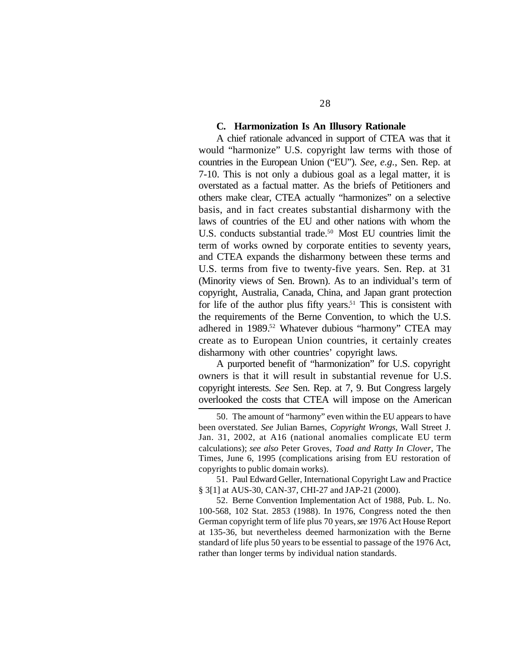#### **C. Harmonization Is An Illusory Rationale**

A chief rationale advanced in support of CTEA was that it would "harmonize" U.S. copyright law terms with those of countries in the European Union ("EU"). *See*, *e.g.*, Sen. Rep. at 7-10. This is not only a dubious goal as a legal matter, it is overstated as a factual matter. As the briefs of Petitioners and others make clear, CTEA actually "harmonizes" on a selective basis, and in fact creates substantial disharmony with the laws of countries of the EU and other nations with whom the U.S. conducts substantial trade.<sup>50</sup> Most EU countries limit the term of works owned by corporate entities to seventy years, and CTEA expands the disharmony between these terms and U.S. terms from five to twenty-five years. Sen. Rep. at 31 (Minority views of Sen. Brown). As to an individual's term of copyright, Australia, Canada, China, and Japan grant protection for life of the author plus fifty years.<sup>51</sup> This is consistent with the requirements of the Berne Convention, to which the U.S. adhered in 1989.<sup>52</sup> Whatever dubious "harmony" CTEA may create as to European Union countries, it certainly creates disharmony with other countries' copyright laws.

A purported benefit of "harmonization" for U.S. copyright owners is that it will result in substantial revenue for U.S. copyright interests. *See* Sen. Rep. at 7, 9. But Congress largely overlooked the costs that CTEA will impose on the American

51. Paul Edward Geller, International Copyright Law and Practice § 3[1] at AUS-30, CAN-37, CHI-27 and JAP-21 (2000).

52. Berne Convention Implementation Act of 1988, Pub. L. No. 100-568, 102 Stat. 2853 (1988). In 1976, Congress noted the then German copyright term of life plus 70 years, *see* 1976 Act House Report at 135-36, but nevertheless deemed harmonization with the Berne standard of life plus 50 years to be essential to passage of the 1976 Act, rather than longer terms by individual nation standards.

<sup>50.</sup> The amount of "harmony" even within the EU appears to have been overstated. *See* Julian Barnes, *Copyright Wrongs*, Wall Street J. Jan. 31, 2002, at A16 (national anomalies complicate EU term calculations); *see also* Peter Groves, *Toad and Ratty In Clover*, The Times, June 6, 1995 (complications arising from EU restoration of copyrights to public domain works).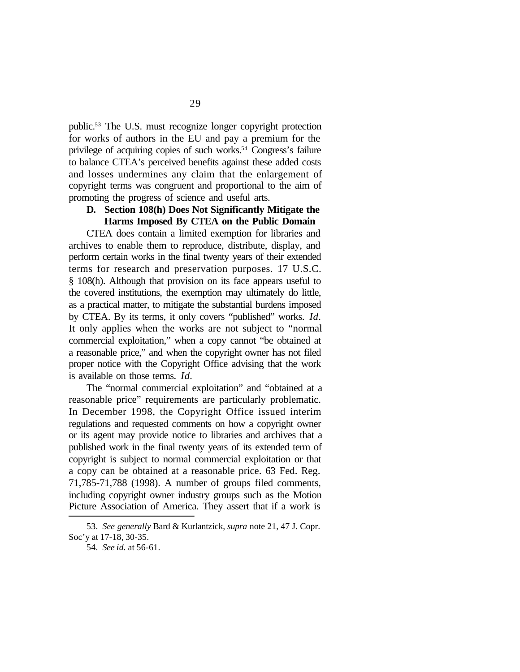public.53 The U.S. must recognize longer copyright protection for works of authors in the EU and pay a premium for the privilege of acquiring copies of such works.54 Congress's failure to balance CTEA's perceived benefits against these added costs and losses undermines any claim that the enlargement of copyright terms was congruent and proportional to the aim of promoting the progress of science and useful arts.

#### **D. Section 108(h) Does Not Significantly Mitigate the Harms Imposed By CTEA on the Public Domain**

CTEA does contain a limited exemption for libraries and archives to enable them to reproduce, distribute, display, and perform certain works in the final twenty years of their extended terms for research and preservation purposes. 17 U.S.C. § 108(h). Although that provision on its face appears useful to the covered institutions, the exemption may ultimately do little, as a practical matter, to mitigate the substantial burdens imposed by CTEA. By its terms, it only covers "published" works. *Id.* It only applies when the works are not subject to "normal commercial exploitation," when a copy cannot "be obtained at a reasonable price," and when the copyright owner has not filed proper notice with the Copyright Office advising that the work is available on those terms. *Id.*

The "normal commercial exploitation" and "obtained at a reasonable price" requirements are particularly problematic. In December 1998, the Copyright Office issued interim regulations and requested comments on how a copyright owner or its agent may provide notice to libraries and archives that a published work in the final twenty years of its extended term of copyright is subject to normal commercial exploitation or that a copy can be obtained at a reasonable price. 63 Fed. Reg. 71,785-71,788 (1998). A number of groups filed comments, including copyright owner industry groups such as the Motion Picture Association of America. They assert that if a work is

<sup>53.</sup> *See generally* Bard & Kurlantzick, *supra* note 21, 47 J. Copr. Soc'y at 17-18, 30-35.

<sup>54.</sup> *See id.* at 56-61.